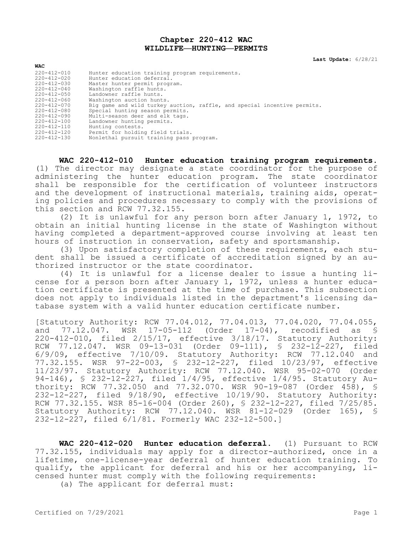## **Chapter 220-412 WAC WILDLIFE—HUNTING—PERMITS**

**Last Update:** 6/28/21

| <b>WAC</b>        |                                                                          |
|-------------------|--------------------------------------------------------------------------|
| $220 - 412 - 010$ | Hunter education training program requirements.                          |
| $220 - 412 - 020$ | Hunter education deferral.                                               |
| $220 - 412 - 030$ | Master hunter permit program.                                            |
| $220 - 412 - 040$ | Washington raffle hunts.                                                 |
| $220 - 412 - 050$ | Landowner raffle hunts.                                                  |
| 220-412-060       | Washington auction hunts.                                                |
| $220 - 412 - 070$ | Big game and wild turkey auction, raffle, and special incentive permits. |
| $220 - 412 - 080$ | Special hunting season permits.                                          |
| $220 - 412 - 090$ | Multi-season deer and elk tags.                                          |
| $220 - 412 - 100$ | Landowner hunting permits.                                               |
| $220 - 412 - 110$ | Hunting contests.                                                        |
| 220-412-120       | Permit for holding field trials.                                         |
| $220 - 412 - 130$ | Nonlethal pursuit training pass program.                                 |

**WAC 220-412-010 Hunter education training program requirements.**  (1) The director may designate a state coordinator for the purpose of administering the hunter education program. The state coordinator shall be responsible for the certification of volunteer instructors and the development of instructional materials, training aids, operating policies and procedures necessary to comply with the provisions of this section and RCW 77.32.155.

(2) It is unlawful for any person born after January 1, 1972, to obtain an initial hunting license in the state of Washington without having completed a department-approved course involving at least ten hours of instruction in conservation, safety and sportsmanship.

(3) Upon satisfactory completion of these requirements, each student shall be issued a certificate of accreditation signed by an authorized instructor or the state coordinator.

(4) It is unlawful for a license dealer to issue a hunting license for a person born after January 1, 1972, unless a hunter education certificate is presented at the time of purchase. This subsection does not apply to individuals listed in the department's licensing database system with a valid hunter education certificate number.

[Statutory Authority: RCW 77.04.012, 77.04.013, 77.04.020, 77.04.055, and 77.12.047. WSR 17-05-112 (Order 17-04), recodified as § 220-412-010, filed 2/15/17, effective 3/18/17. Statutory Authority: RCW 77.12.047. WSR 09-13-031 (Order 09-111), § 232-12-227, filed 6/9/09, effective 7/10/09. Statutory Authority: RCW 77.12.040 and 77.32.155. WSR 97-22-003, § 232-12-227, filed 10/23/97, effective 11/23/97. Statutory Authority: RCW 77.12.040. WSR 95-02-070 (Order 94-146), § 232-12-227, filed 1/4/95, effective 1/4/95. Statutory Authority: RCW 77.32.050 and 77.32.070. WSR 90-19-087 (Order 458), § 232-12-227, filed 9/18/90, effective 10/19/90. Statutory Authority: RCW 77.32.155. WSR 85-16-004 (Order 260), § 232-12-227, filed 7/25/85. Statutory Authority: RCW 77.12.040. WSR 81-12-029 (Order 165), § 232-12-227, filed 6/1/81. Formerly WAC 232-12-500.]

**WAC 220-412-020 Hunter education deferral.** (1) Pursuant to RCW 77.32.155, individuals may apply for a director-authorized, once in a lifetime, one-license-year deferral of hunter education training. To qualify, the applicant for deferral and his or her accompanying, licensed hunter must comply with the following requirements:

(a) The applicant for deferral must: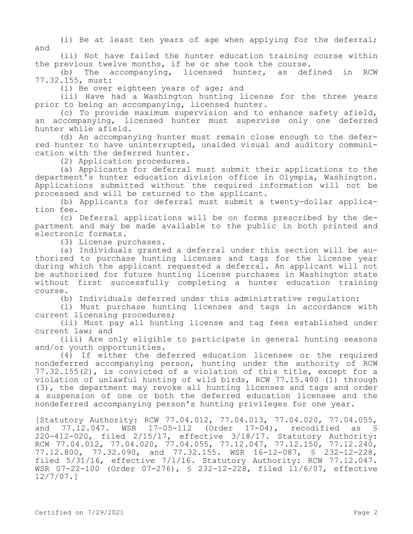(i) Be at least ten years of age when applying for the deferral; and

(ii) Not have failed the hunter education training course within the previous twelve months, if he or she took the course.<br>(b) The accompanying, licensed hunter, as def

The accompanying, licensed hunter, as defined in RCW 77.32.155, must:

(i) Be over eighteen years of age; and

(ii) Have had a Washington hunting license for the three years prior to being an accompanying, licensed hunter.

(c) To provide maximum supervision and to enhance safety afield, an accompanying, licensed hunter must supervise only one deferred hunter while afield.

(d) An accompanying hunter must remain close enough to the deferred hunter to have uninterrupted, unaided visual and auditory communication with the deferred hunter.

(2) Application procedures.

(a) Applicants for deferral must submit their applications to the department's hunter education division office in Olympia, Washington. Applications submitted without the required information will not be processed and will be returned to the applicant.

(b) Applicants for deferral must submit a twenty-dollar application fee.

(c) Deferral applications will be on forms prescribed by the department and may be made available to the public in both printed and electronic formats.

(3) License purchases.

(a) Individuals granted a deferral under this section will be authorized to purchase hunting licenses and tags for the license year during which the applicant requested a deferral. An applicant will not be authorized for future hunting license purchases in Washington state without first successfully completing a hunter education training course.

(b) Individuals deferred under this administrative regulation:

(i) Must purchase hunting licenses and tags in accordance with current licensing procedures;

(ii) Must pay all hunting license and tag fees established under current law; and

(iii) Are only eligible to participate in general hunting seasons and/or youth opportunities.

(4) If either the deferred education licensee or the required nondeferred accompanying person, hunting under the authority of RCW 77.32.155(2), is convicted of a violation of this title, except for a violation of unlawful hunting of wild birds, RCW 77.15.400 (1) through (3), the department may revoke all hunting licenses and tags and order a suspension of one or both the deferred education licensee and the nondeferred accompanying person's hunting privileges for one year.

[Statutory Authority: RCW 77.04.012, 77.04.013, 77.04.020, 77.04.055, and 77.12.047. WSR 17-05-112 (Order 17-04), recodified as § 220-412-020, filed 2/15/17, effective 3/18/17. Statutory Authority: RCW 77.04.012, 77.04.020, 77.04.055, 77.12.047, 77.12.150, 77.12.240, 77.12.800, 77.32.090, and 77.32.155. WSR 16-12-087, § 232-12-228, filed 5/31/16, effective 7/1/16. Statutory Authority: RCW 77.12.047. WSR 07-22-100 (Order 07-276), § 232-12-228, filed 11/6/07, effective 12/7/07.]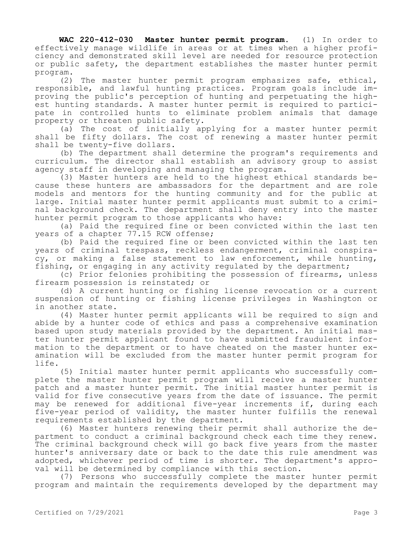**WAC 220-412-030 Master hunter permit program.** (1) In order to effectively manage wildlife in areas or at times when a higher proficiency and demonstrated skill level are needed for resource protection or public safety, the department establishes the master hunter permit program.

(2) The master hunter permit program emphasizes safe, ethical, responsible, and lawful hunting practices. Program goals include improving the public's perception of hunting and perpetuating the highest hunting standards. A master hunter permit is required to participate in controlled hunts to eliminate problem animals that damage property or threaten public safety.

(a) The cost of initially applying for a master hunter permit shall be fifty dollars. The cost of renewing a master hunter permit shall be twenty-five dollars.

(b) The department shall determine the program's requirements and curriculum. The director shall establish an advisory group to assist agency staff in developing and managing the program.

(3) Master hunters are held to the highest ethical standards because these hunters are ambassadors for the department and are role models and mentors for the hunting community and for the public at large. Initial master hunter permit applicants must submit to a criminal background check. The department shall deny entry into the master hunter permit program to those applicants who have:

(a) Paid the required fine or been convicted within the last ten years of a chapter 77.15 RCW offense;

(b) Paid the required fine or been convicted within the last ten years of criminal trespass, reckless endangerment, criminal conspiracy, or making a false statement to law enforcement, while hunting, fishing, or engaging in any activity regulated by the department;

(c) Prior felonies prohibiting the possession of firearms, unless firearm possession is reinstated; or

(d) A current hunting or fishing license revocation or a current suspension of hunting or fishing license privileges in Washington or in another state.

(4) Master hunter permit applicants will be required to sign and abide by a hunter code of ethics and pass a comprehensive examination based upon study materials provided by the department. An initial master hunter permit applicant found to have submitted fraudulent information to the department or to have cheated on the master hunter examination will be excluded from the master hunter permit program for life.

(5) Initial master hunter permit applicants who successfully complete the master hunter permit program will receive a master hunter patch and a master hunter permit. The initial master hunter permit is valid for five consecutive years from the date of issuance. The permit may be renewed for additional five-year increments if, during each five-year period of validity, the master hunter fulfills the renewal requirements established by the department.

(6) Master hunters renewing their permit shall authorize the department to conduct a criminal background check each time they renew. The criminal background check will go back five years from the master hunter's anniversary date or back to the date this rule amendment was adopted, whichever period of time is shorter. The department's approval will be determined by compliance with this section.

(7) Persons who successfully complete the master hunter permit program and maintain the requirements developed by the department may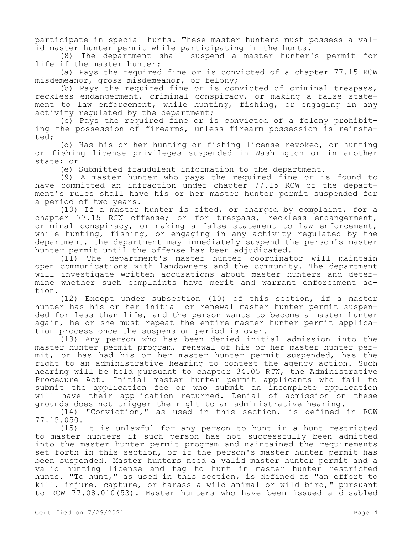participate in special hunts. These master hunters must possess a valid master hunter permit while participating in the hunts.

(8) The department shall suspend a master hunter's permit for life if the master hunter:

(a) Pays the required fine or is convicted of a chapter 77.15 RCW misdemeanor, gross misdemeanor, or felony;

(b) Pays the required fine or is convicted of criminal trespass, reckless endangerment, criminal conspiracy, or making a false statement to law enforcement, while hunting, fishing, or engaging in any activity regulated by the department;

(c) Pays the required fine or is convicted of a felony prohibiting the possession of firearms, unless firearm possession is reinstated;

(d) Has his or her hunting or fishing license revoked, or hunting or fishing license privileges suspended in Washington or in another state; or

(e) Submitted fraudulent information to the department.

(9) A master hunter who pays the required fine or is found to have committed an infraction under chapter 77.15 RCW or the department's rules shall have his or her master hunter permit suspended for a period of two years.

(10) If a master hunter is cited, or charged by complaint, for a chapter 77.15 RCW offense; or for trespass, reckless endangerment, criminal conspiracy, or making a false statement to law enforcement, while hunting, fishing, or engaging in any activity regulated by the department, the department may immediately suspend the person's master hunter permit until the offense has been adjudicated.

(11) The department's master hunter coordinator will maintain open communications with landowners and the community. The department will investigate written accusations about master hunters and determine whether such complaints have merit and warrant enforcement action.

(12) Except under subsection (10) of this section, if a master hunter has his or her initial or renewal master hunter permit suspended for less than life, and the person wants to become a master hunter again, he or she must repeat the entire master hunter permit application process once the suspension period is over.

(13) Any person who has been denied initial admission into the master hunter permit program, renewal of his or her master hunter permit, or has had his or her master hunter permit suspended, has the right to an administrative hearing to contest the agency action. Such hearing will be held pursuant to chapter 34.05 RCW, the Administrative Procedure Act. Initial master hunter permit applicants who fail to submit the application fee or who submit an incomplete application will have their application returned. Denial of admission on these grounds does not trigger the right to an administrative hearing.

(14) "Conviction," as used in this section, is defined in RCW 77.15.050.

(15) It is unlawful for any person to hunt in a hunt restricted to master hunters if such person has not successfully been admitted into the master hunter permit program and maintained the requirements set forth in this section, or if the person's master hunter permit has been suspended. Master hunters need a valid master hunter permit and a valid hunting license and tag to hunt in master hunter restricted hunts. "To hunt," as used in this section, is defined as "an effort to kill, injure, capture, or harass a wild animal or wild bird," pursuant to RCW 77.08.010(53). Master hunters who have been issued a disabled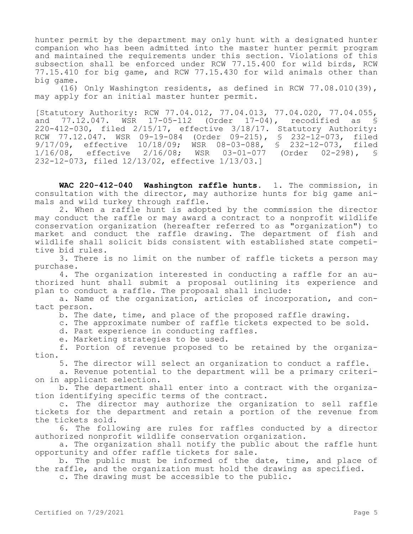hunter permit by the department may only hunt with a designated hunter companion who has been admitted into the master hunter permit program and maintained the requirements under this section. Violations of this subsection shall be enforced under RCW 77.15.400 for wild birds, RCW 77.15.410 for big game, and RCW 77.15.430 for wild animals other than big game.

(16) Only Washington residents, as defined in RCW 77.08.010(39), may apply for an initial master hunter permit.

[Statutory Authority: RCW 77.04.012, 77.04.013, 77.04.020, 77.04.055, and 77.12.047. WSR 17-05-112 (Order 17-04), recodified as § 220-412-030, filed 2/15/17, effective 3/18/17. Statutory Authority: RCW 77.12.047. WSR 09-19-084 (Order 09-215), § 232-12-073, filed 9/17/09, effective 10/18/09; WSR 08-03-088, § 232-12-073, filed 1/16/08, effective 2/16/08; WSR 03-01-077 (Order 02-298), § 232-12-073, filed 12/13/02, effective 1/13/03.]

WAC 220-412-040 Washington raffle hunts. 1. The commission, in consultation with the director, may authorize hunts for big game animals and wild turkey through raffle.

2. When a raffle hunt is adopted by the commission the director may conduct the raffle or may award a contract to a nonprofit wildlife conservation organization (hereafter referred to as "organization") to market and conduct the raffle drawing. The department of fish and wildlife shall solicit bids consistent with established state competitive bid rules.

3. There is no limit on the number of raffle tickets a person may purchase.

4. The organization interested in conducting a raffle for an authorized hunt shall submit a proposal outlining its experience and plan to conduct a raffle. The proposal shall include:

a. Name of the organization, articles of incorporation, and contact person.

b. The date, time, and place of the proposed raffle drawing.

c. The approximate number of raffle tickets expected to be sold.

d. Past experience in conducting raffles.

e. Marketing strategies to be used.

f. Portion of revenue proposed to be retained by the organization.

5. The director will select an organization to conduct a raffle.

a. Revenue potential to the department will be a primary criterion in applicant selection.

b. The department shall enter into a contract with the organization identifying specific terms of the contract.

c. The director may authorize the organization to sell raffle tickets for the department and retain a portion of the revenue from the tickets sold.

6. The following are rules for raffles conducted by a director authorized nonprofit wildlife conservation organization.

a. The organization shall notify the public about the raffle hunt opportunity and offer raffle tickets for sale.

b. The public must be informed of the date, time, and place of the raffle, and the organization must hold the drawing as specified.

c. The drawing must be accessible to the public.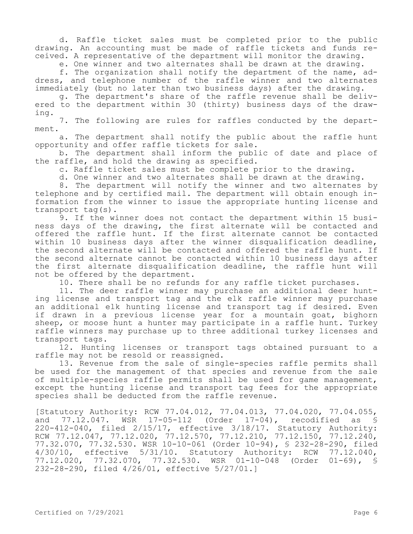d. Raffle ticket sales must be completed prior to the public drawing. An accounting must be made of raffle tickets and funds received. A representative of the department will monitor the drawing.

e. One winner and two alternates shall be drawn at the drawing.

f. The organization shall notify the department of the name, address, and telephone number of the raffle winner and two alternates immediately (but no later than two business days) after the drawing.

g. The department's share of the raffle revenue shall be delivered to the department within 30 (thirty) business days of the drawing.

7. The following are rules for raffles conducted by the department.

a. The department shall notify the public about the raffle hunt opportunity and offer raffle tickets for sale.

b. The department shall inform the public of date and place of the raffle, and hold the drawing as specified.

c. Raffle ticket sales must be complete prior to the drawing.

d. One winner and two alternates shall be drawn at the drawing.

8. The department will notify the winner and two alternates by telephone and by certified mail. The department will obtain enough information from the winner to issue the appropriate hunting license and transport tag(s).

9. If the winner does not contact the department within 15 business days of the drawing, the first alternate will be contacted and offered the raffle hunt. If the first alternate cannot be contacted within 10 business days after the winner disqualification deadline, the second alternate will be contacted and offered the raffle hunt. If the second alternate cannot be contacted within 10 business days after the first alternate disqualification deadline, the raffle hunt will not be offered by the department.

10. There shall be no refunds for any raffle ticket purchases.

11. The deer raffle winner may purchase an additional deer hunting license and transport tag and the elk raffle winner may purchase an additional elk hunting license and transport tag if desired. Even if drawn in a previous license year for a mountain goat, bighorn sheep, or moose hunt a hunter may participate in a raffle hunt. Turkey raffle winners may purchase up to three additional turkey licenses and transport tags.

12. Hunting licenses or transport tags obtained pursuant to a raffle may not be resold or reassigned.

13. Revenue from the sale of single-species raffle permits shall be used for the management of that species and revenue from the sale of multiple-species raffle permits shall be used for game management, except the hunting license and transport tag fees for the appropriate species shall be deducted from the raffle revenue.

[Statutory Authority: RCW 77.04.012, 77.04.013, 77.04.020, 77.04.055, and 77.12.047. WSR 17-05-112 (Order 17-04), recodified as \$ 220-412-040, filed 2/15/17, effective 3/18/17. Statutory Authority: RCW 77.12.047, 77.12.020, 77.12.570, 77.12.210, 77.12.150, 77.12.240, 77.32.070, 77.32.530. WSR 10-10-061 (Order 10-94), § 232-28-290, filed 4/30/10, effective 5/31/10. Statutory Authority: RCW 77.12.040,<br>77.12.020, 77.32.070, 77.32.530. WSR 01-10-048 (Order 01-69), § 77.12.020, 77.32.070, 77.32.530. WSR 01-10-048 (Order 232-28-290, filed 4/26/01, effective 5/27/01.]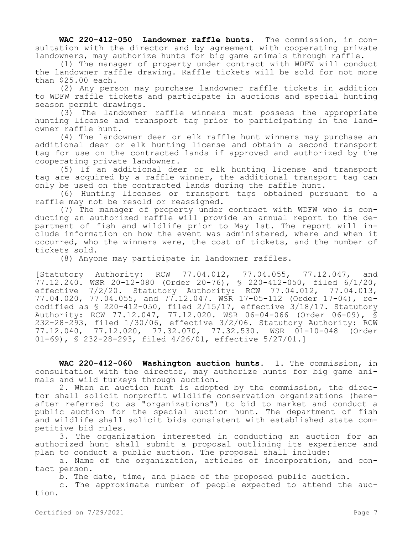**WAC 220-412-050 Landowner raffle hunts.** The commission, in consultation with the director and by agreement with cooperating private landowners, may authorize hunts for big game animals through raffle.

(1) The manager of property under contract with WDFW will conduct the landowner raffle drawing. Raffle tickets will be sold for not more than \$25.00 each.

(2) Any person may purchase landowner raffle tickets in addition to WDFW raffle tickets and participate in auctions and special hunting season permit drawings.

(3) The landowner raffle winners must possess the appropriate hunting license and transport tag prior to participating in the landowner raffle hunt.

(4) The landowner deer or elk raffle hunt winners may purchase an additional deer or elk hunting license and obtain a second transport tag for use on the contracted lands if approved and authorized by the cooperating private landowner.

(5) If an additional deer or elk hunting license and transport tag are acquired by a raffle winner, the additional transport tag can only be used on the contracted lands during the raffle hunt.

(6) Hunting licenses or transport tags obtained pursuant to a raffle may not be resold or reassigned.

(7) The manager of property under contract with WDFW who is conducting an authorized raffle will provide an annual report to the department of fish and wildlife prior to May 1st. The report will include information on how the event was administered, where and when it occurred, who the winners were, the cost of tickets, and the number of tickets sold.

(8) Anyone may participate in landowner raffles.

[Statutory Authority: RCW 77.04.012, 77.04.055, 77.12.047, and 77.12.240. WSR 20-12-080 (Order 20-76), § 220-412-050, filed 6/1/20, effective 7/2/20. Statutory Authority: RCW 77.04.012, 77.04.013, 77.04.020, 77.04.055, and 77.12.047. WSR 17-05-112 (Order 17-04), recodified as § 220-412-050, filed 2/15/17, effective 3/18/17. Statutory Authority: RCW 77.12.047, 77.12.020. WSR 06-04-066 (Order 06-09), § 232-28-293, filed 1/30/06, effective 3/2/06. Statutory Authority: RCW 77.12.040, 77.12.020, 77.32.070, 77.32.530. WSR 01-10-048 (Order 01-69), § 232-28-293, filed 4/26/01, effective 5/27/01.]

**WAC 220-412-060 Washington auction hunts.** 1. The commission, in consultation with the director, may authorize hunts for big game animals and wild turkeys through auction.

2. When an auction hunt is adopted by the commission, the director shall solicit nonprofit wildlife conservation organizations (hereafter referred to as "organizations") to bid to market and conduct a public auction for the special auction hunt. The department of fish and wildlife shall solicit bids consistent with established state competitive bid rules.

3. The organization interested in conducting an auction for an authorized hunt shall submit a proposal outlining its experience and plan to conduct a public auction. The proposal shall include:

a. Name of the organization, articles of incorporation, and contact person.

b. The date, time, and place of the proposed public auction.

c. The approximate number of people expected to attend the auction.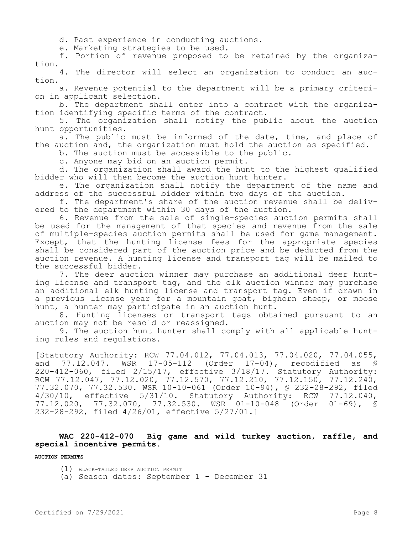d. Past experience in conducting auctions.

e. Marketing strategies to be used.

f. Portion of revenue proposed to be retained by the organization.

4. The director will select an organization to conduct an auction.

a. Revenue potential to the department will be a primary criterion in applicant selection.

b. The department shall enter into a contract with the organization identifying specific terms of the contract.

5. The organization shall notify the public about the auction hunt opportunities.

a. The public must be informed of the date, time, and place of the auction and, the organization must hold the auction as specified.

b. The auction must be accessible to the public.

c. Anyone may bid on an auction permit.

d. The organization shall award the hunt to the highest qualified bidder who will then become the auction hunt hunter.

e. The organization shall notify the department of the name and address of the successful bidder within two days of the auction.

f. The department's share of the auction revenue shall be delivered to the department within 30 days of the auction.

6. Revenue from the sale of single-species auction permits shall be used for the management of that species and revenue from the sale of multiple-species auction permits shall be used for game management. Except, that the hunting license fees for the appropriate species shall be considered part of the auction price and be deducted from the auction revenue. A hunting license and transport tag will be mailed to the successful bidder.

7. The deer auction winner may purchase an additional deer hunting license and transport tag, and the elk auction winner may purchase an additional elk hunting license and transport tag. Even if drawn in a previous license year for a mountain goat, bighorn sheep, or moose hunt, a hunter may participate in an auction hunt.

8. Hunting licenses or transport tags obtained pursuant to an auction may not be resold or reassigned.

9. The auction hunt hunter shall comply with all applicable hunting rules and regulations.

[Statutory Authority: RCW 77.04.012, 77.04.013, 77.04.020, 77.04.055, and 77.12.047. WSR 17-05-112 (Order 17-04), recodified as § 220-412-060, filed 2/15/17, effective 3/18/17. Statutory Authority: RCW 77.12.047, 77.12.020, 77.12.570, 77.12.210, 77.12.150, 77.12.240, 77.32.070, 77.32.530. WSR 10-10-061 (Order 10-94), § 232-28-292, filed 4/30/10, effective 5/31/10. Statutory Authority: RCW 77.12.040, 77.12.020, 77.32.070, 77.32.530. WSR 01-10-048 (Order 01-69), § 232-28-292, filed 4/26/01, effective 5/27/01.]

### **WAC 220-412-070 Big game and wild turkey auction, raffle, and special incentive permits.**

**AUCTION PERMITS**

- (1) BLACK-TAILED DEER AUCTION PERMIT
- (a) Season dates: September 1 December 31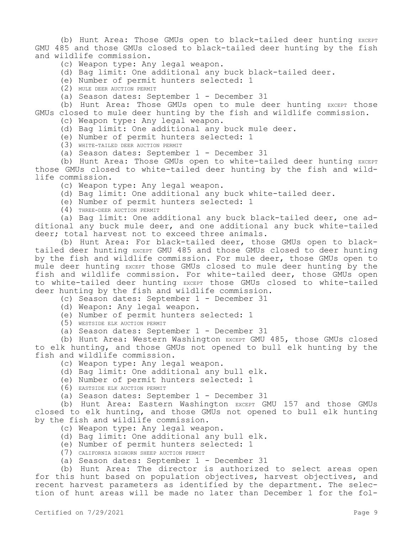(b) Hunt Area: Those GMUs open to black-tailed deer hunting EXCEPT GMU 485 and those GMUs closed to black-tailed deer hunting by the fish and wildlife commission.

- (c) Weapon type: Any legal weapon.
- (d) Bag limit: One additional any buck black-tailed deer.
- (e) Number of permit hunters selected: 1
- (2) MULE DEER AUCTION PERMIT
- (a) Season dates: September 1 December 31

(b) Hunt Area: Those GMUs open to mule deer hunting EXCEPT those GMUs closed to mule deer hunting by the fish and wildlife commission.

- (c) Weapon type: Any legal weapon.
- (d) Bag limit: One additional any buck mule deer.
- (e) Number of permit hunters selected: 1
- (3) WHITE-TAILED DEER AUCTION PERMIT
- (a) Season dates: September 1 December 31

(b) Hunt Area: Those GMUs open to white-tailed deer hunting EXCEPT those GMUs closed to white-tailed deer hunting by the fish and wildlife commission.

- (c) Weapon type: Any legal weapon.
- (d) Bag limit: One additional any buck white-tailed deer.
- (e) Number of permit hunters selected: 1
- (4) THREE-DEER AUCTION PERMIT

(a) Bag limit: One additional any buck black-tailed deer, one additional any buck mule deer, and one additional any buck white-tailed deer; total harvest not to exceed three animals.

(b) Hunt Area: For black-tailed deer, those GMUs open to blacktailed deer hunting EXCEPT GMU 485 and those GMUs closed to deer hunting by the fish and wildlife commission. For mule deer, those GMUs open to mule deer hunting EXCEPT those GMUs closed to mule deer hunting by the fish and wildlife commission. For white-tailed deer, those GMUs open to white-tailed deer hunting EXCEPT those GMUs closed to white-tailed deer hunting by the fish and wildlife commission.

(c) Season dates: September 1 - December 31

- (d) Weapon: Any legal weapon.
- (e) Number of permit hunters selected: 1
- (5) WESTSIDE ELK AUCTION PERMIT
- (a) Season dates: September 1 December 31

(b) Hunt Area: Western Washington EXCEPT GMU 485, those GMUs closed to elk hunting, and those GMUs not opened to bull elk hunting by the fish and wildlife commission.

- (c) Weapon type: Any legal weapon.
- (d) Bag limit: One additional any bull elk.
- (e) Number of permit hunters selected: 1
- (6) EASTSIDE ELK AUCTION PERMIT
- (a) Season dates: September 1 December 31

(b) Hunt Area: Eastern Washington EXCEPT GMU 157 and those GMUs closed to elk hunting, and those GMUs not opened to bull elk hunting by the fish and wildlife commission.

- (c) Weapon type: Any legal weapon.
- (d) Bag limit: One additional any bull elk.
- (e) Number of permit hunters selected: 1
- (7) CALIFORNIA BIGHORN SHEEP AUCTION PERMIT
- (a) Season dates: September 1 December 31

(b) Hunt Area: The director is authorized to select areas open for this hunt based on population objectives, harvest objectives, and recent harvest parameters as identified by the department. The selection of hunt areas will be made no later than December 1 for the fol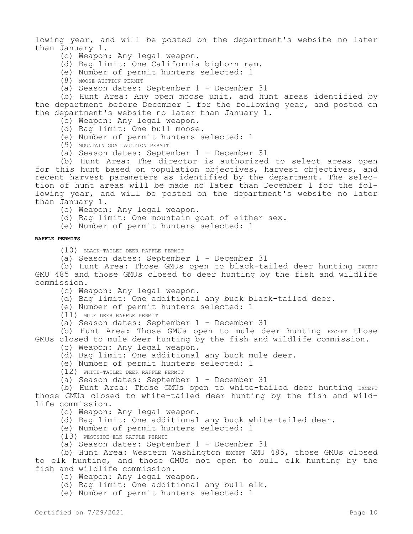lowing year, and will be posted on the department's website no later than January 1.

- (c) Weapon: Any legal weapon.
- (d) Bag limit: One California bighorn ram.
- (e) Number of permit hunters selected: 1
- (8) MOOSE AUCTION PERMIT
- (a) Season dates: September 1 December 31

(b) Hunt Area: Any open moose unit, and hunt areas identified by the department before December 1 for the following year, and posted on the department's website no later than January 1.

- (c) Weapon: Any legal weapon.
- (d) Bag limit: One bull moose.
- (e) Number of permit hunters selected: 1
- (9) MOUNTAIN GOAT AUCTION PERMIT
- (a) Season dates: September 1 December 31

(b) Hunt Area: The director is authorized to select areas open for this hunt based on population objectives, harvest objectives, and recent harvest parameters as identified by the department. The selection of hunt areas will be made no later than December 1 for the following year, and will be posted on the department's website no later than January 1.

- (c) Weapon: Any legal weapon.
- (d) Bag limit: One mountain goat of either sex.

(e) Number of permit hunters selected: 1

#### **RAFFLE PERMITS**

(10) BLACK-TAILED DEER RAFFLE PERMIT

(a) Season dates: September 1 - December 31

(b) Hunt Area: Those GMUs open to black-tailed deer hunting EXCEPT GMU 485 and those GMUs closed to deer hunting by the fish and wildlife commission.

- (c) Weapon: Any legal weapon.
- (d) Bag limit: One additional any buck black-tailed deer.
- (e) Number of permit hunters selected: 1

(11) MULE DEER RAFFLE PERMIT

(a) Season dates: September 1 - December 31

(b) Hunt Area: Those GMUs open to mule deer hunting EXCEPT those GMUs closed to mule deer hunting by the fish and wildlife commission.

- (c) Weapon: Any legal weapon.
- (d) Bag limit: One additional any buck mule deer.
- (e) Number of permit hunters selected: 1

(12) WHITE-TAILED DEER RAFFLE PERMIT

(a) Season dates: September 1 - December 31

(b) Hunt Area: Those GMUs open to white-tailed deer hunting EXCEPT those GMUs closed to white-tailed deer hunting by the fish and wildlife commission.

- (c) Weapon: Any legal weapon.
- (d) Bag limit: One additional any buck white-tailed deer.
- (e) Number of permit hunters selected: 1
- (13) WESTSIDE ELK RAFFLE PERMIT
- (a) Season dates: September 1 December 31

(b) Hunt Area: Western Washington EXCEPT GMU 485, those GMUs closed to elk hunting, and those GMUs not open to bull elk hunting by the fish and wildlife commission.

- (c) Weapon: Any legal weapon.
- (d) Bag limit: One additional any bull elk.

(e) Number of permit hunters selected: 1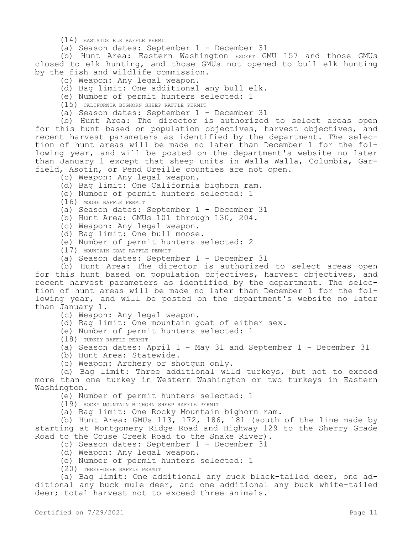(14) EASTSIDE ELK RAFFLE PERMIT

(a) Season dates: September 1 - December 31

(b) Hunt Area: Eastern Washington EXCEPT GMU 157 and those GMUs closed to elk hunting, and those GMUs not opened to bull elk hunting by the fish and wildlife commission.

- (c) Weapon: Any legal weapon.
- (d) Bag limit: One additional any bull elk.
- (e) Number of permit hunters selected: 1
- (15) CALIFORNIA BIGHORN SHEEP RAFFLE PERMIT
- (a) Season dates: September 1 December 31

(b) Hunt Area: The director is authorized to select areas open for this hunt based on population objectives, harvest objectives, and recent harvest parameters as identified by the department. The selection of hunt areas will be made no later than December 1 for the following year, and will be posted on the department's website no later than January 1 except that sheep units in Walla Walla, Columbia, Garfield, Asotin, or Pend Oreille counties are not open.

- (c) Weapon: Any legal weapon.
- (d) Bag limit: One California bighorn ram.
- (e) Number of permit hunters selected: 1
- (16) MOOSE RAFFLE PERMIT
- (a) Season dates: September 1 December 31
- (b) Hunt Area: GMUs 101 through 130, 204.
- (c) Weapon: Any legal weapon.
- (d) Bag limit: One bull moose.
- (e) Number of permit hunters selected: 2
- (17) MOUNTAIN GOAT RAFFLE PERMIT
- (a) Season dates: September 1 December 31

(b) Hunt Area: The director is authorized to select areas open for this hunt based on population objectives, harvest objectives, and recent harvest parameters as identified by the department. The selection of hunt areas will be made no later than December 1 for the following year, and will be posted on the department's website no later than January 1.

(c) Weapon: Any legal weapon.

- (d) Bag limit: One mountain goat of either sex.
- (e) Number of permit hunters selected: 1

(18) TURKEY RAFFLE PERMIT

- (a) Season dates: April 1 May 31 and September 1 December 31
- (b) Hunt Area: Statewide.
- (c) Weapon: Archery or shotgun only.

(d) Bag limit: Three additional wild turkeys, but not to exceed more than one turkey in Western Washington or two turkeys in Eastern Washington.

- (e) Number of permit hunters selected: 1
- (19) ROCKY MOUNTAIN BIGHORN SHEEP RAFFLE PERMIT
- (a) Bag limit: One Rocky Mountain bighorn ram.

(b) Hunt Area: GMUs  $113$ ,  $172$ ,  $186$ ,  $181$  (south of the line made by starting at Montgomery Ridge Road and Highway 129 to the Sherry Grade Road to the Couse Creek Road to the Snake River).

- (c) Season dates: September 1 December 31
- (d) Weapon: Any legal weapon.
- (e) Number of permit hunters selected: 1
- (20) THREE-DEER RAFFLE PERMIT

(a) Bag limit: One additional any buck black-tailed deer, one additional any buck mule deer, and one additional any buck white-tailed deer; total harvest not to exceed three animals.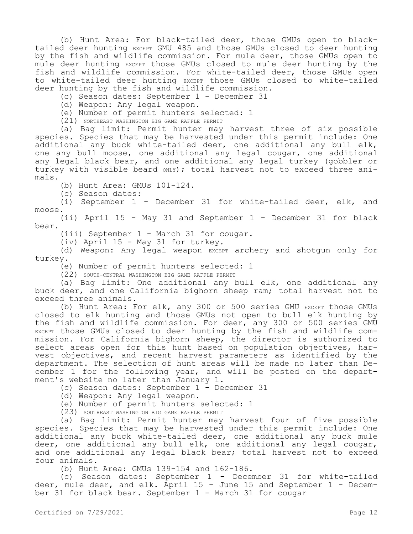(b) Hunt Area: For black-tailed deer, those GMUs open to blacktailed deer hunting EXCEPT GMU 485 and those GMUs closed to deer hunting by the fish and wildlife commission. For mule deer, those GMUs open to mule deer hunting EXCEPT those GMUs closed to mule deer hunting by the fish and wildlife commission. For white-tailed deer, those GMUs open to white-tailed deer hunting EXCEPT those GMUs closed to white-tailed deer hunting by the fish and wildlife commission.

(c) Season dates: September 1 - December 31

(d) Weapon: Any legal weapon.

(e) Number of permit hunters selected: 1

(21) NORTHEAST WASHINGTON BIG GAME RAFFLE PERMIT

(a) Bag limit: Permit hunter may harvest three of six possible species. Species that may be harvested under this permit include: One additional any buck white-tailed deer, one additional any bull elk, one any bull moose, one additional any legal cougar, one additional any legal black bear, and one additional any legal turkey (gobbler or turkey with visible beard  $_{\text{ONLY}}$ ; total harvest not to exceed three animals.

(b) Hunt Area: GMUs 101-124.

(c) Season dates:

(i) September 1 - December 31 for white-tailed deer, elk, and moose.

(ii) April 15 - May 31 and September 1 - December 31 for black bear.

(iii) September 1 - March 31 for cougar.

(iv) April 15 - May 31 for turkey.

(d) Weapon: Any legal weapon EXCEPT archery and shotgun only for turkey.

(e) Number of permit hunters selected: 1

(22) SOUTH-CENTRAL WASHINGTON BIG GAME RAFFLE PERMIT

(a) Bag limit: One additional any bull elk, one additional any buck deer, and one California bighorn sheep ram; total harvest not to exceed three animals.

(b) Hunt Area: For elk, any 300 or 500 series GMU EXCEPT those GMUs closed to elk hunting and those GMUs not open to bull elk hunting by the fish and wildlife commission. For deer, any 300 or 500 series GMU EXCEPT those GMUs closed to deer hunting by the fish and wildlife commission. For California bighorn sheep, the director is authorized to select areas open for this hunt based on population objectives, harvest objectives, and recent harvest parameters as identified by the department. The selection of hunt areas will be made no later than December 1 for the following year, and will be posted on the department's website no later than January 1.

(c) Season dates: September 1 - December 31

(d) Weapon: Any legal weapon.

(e) Number of permit hunters selected: 1

(23) SOUTHEAST WASHINGTON BIG GAME RAFFLE PERMIT

(a) Bag limit: Permit hunter may harvest four of five possible species. Species that may be harvested under this permit include: One additional any buck white-tailed deer, one additional any buck mule deer, one additional any bull elk, one additional any legal cougar, and one additional any legal black bear; total harvest not to exceed four animals.

(b) Hunt Area: GMUs 139-154 and 162-186.

(c) Season dates: September 1 - December 31 for white-tailed deer, mule deer, and elk. April 15 - June 15 and September 1 - December 31 for black bear. September 1 - March 31 for cougar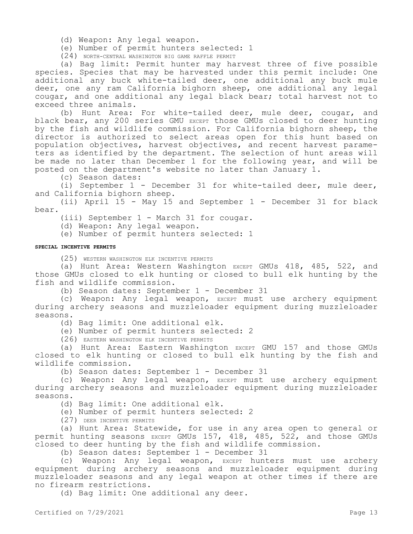(d) Weapon: Any legal weapon.

(e) Number of permit hunters selected: 1

(24) NORTH-CENTRAL WASHINGTON BIG GAME RAFFLE PERMIT

(a) Bag limit: Permit hunter may harvest three of five possible species. Species that may be harvested under this permit include: One additional any buck white-tailed deer, one additional any buck mule deer, one any ram California bighorn sheep, one additional any legal cougar, and one additional any legal black bear; total harvest not to exceed three animals.

(b) Hunt Area: For white-tailed deer, mule deer, cougar, and black bear, any 200 series GMU EXCEPT those GMUs closed to deer hunting by the fish and wildlife commission. For California bighorn sheep, the director is authorized to select areas open for this hunt based on population objectives, harvest objectives, and recent harvest parameters as identified by the department. The selection of hunt areas will be made no later than December 1 for the following year, and will be posted on the department's website no later than January 1.

(c) Season dates:

(i) September 1 - December 31 for white-tailed deer, mule deer, and California bighorn sheep.

(ii) April 15 - May 15 and September 1 - December 31 for black bear.

(iii) September 1 - March 31 for cougar.

(d) Weapon: Any legal weapon.

(e) Number of permit hunters selected: 1

#### **SPECIAL INCENTIVE PERMITS**

(25) WESTERN WASHINGTON ELK INCENTIVE PERMITS

(a) Hunt Area: Western Washington EXCEPT GMUs 418, 485, 522, and those GMUs closed to elk hunting or closed to bull elk hunting by the fish and wildlife commission.

(b) Season dates: September 1 - December 31

(c) Weapon: Any legal weapon, EXCEPT must use archery equipment during archery seasons and muzzleloader equipment during muzzleloader seasons.

(d) Bag limit: One additional elk.

(e) Number of permit hunters selected: 2

(26) EASTERN WASHINGTON ELK INCENTIVE PERMITS

(a) Hunt Area: Eastern Washington EXCEPT GMU 157 and those GMUs closed to elk hunting or closed to bull elk hunting by the fish and wildlife commission.

(b) Season dates: September 1 - December 31

(c) Weapon: Any legal weapon, EXCEPT must use archery equipment during archery seasons and muzzleloader equipment during muzzleloader seasons.

(d) Bag limit: One additional elk.

(e) Number of permit hunters selected: 2

(27) DEER INCENTIVE PERMITS

(a) Hunt Area: Statewide, for use in any area open to general or permit hunting seasons EXCEPT GMUs 157, 418, 485, 522, and those GMUs closed to deer hunting by the fish and wildlife commission.

(b) Season dates: September 1 - December 31

(c) Weapon: Any legal weapon, EXCEPT hunters must use archery equipment during archery seasons and muzzleloader equipment during muzzleloader seasons and any legal weapon at other times if there are no firearm restrictions.

(d) Bag limit: One additional any deer.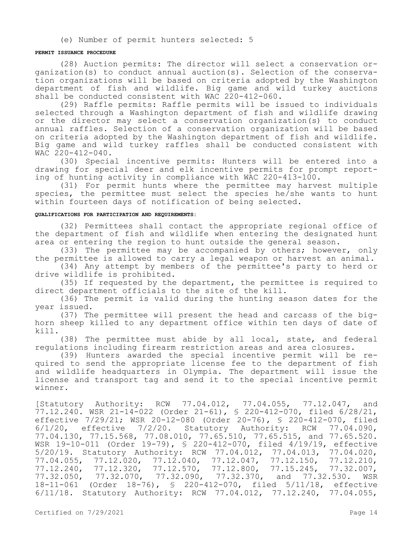(e) Number of permit hunters selected: 5

#### **PERMIT ISSUANCE PROCEDURE**

(28) Auction permits: The director will select a conservation organization(s) to conduct annual auction(s). Selection of the conservation organizations will be based on criteria adopted by the Washington department of fish and wildlife. Big game and wild turkey auctions shall be conducted consistent with WAC 220-412-060.

(29) Raffle permits: Raffle permits will be issued to individuals selected through a Washington department of fish and wildlife drawing or the director may select a conservation organization(s) to conduct annual raffles. Selection of a conservation organization will be based on criteria adopted by the Washington department of fish and wildlife. Big game and wild turkey raffles shall be conducted consistent with WAC 220-412-040.

(30) Special incentive permits: Hunters will be entered into a drawing for special deer and elk incentive permits for prompt reporting of hunting activity in compliance with WAC 220-413-100.

(31) For permit hunts where the permittee may harvest multiple species, the permittee must select the species he/she wants to hunt within fourteen days of notification of being selected.

#### **QUALIFICATIONS FOR PARTICIPATION AND REQUIREMENTS:**

(32) Permittees shall contact the appropriate regional office of the department of fish and wildlife when entering the designated hunt area or entering the region to hunt outside the general season.

(33) The permittee may be accompanied by others; however, only the permittee is allowed to carry a legal weapon or harvest an animal.

(34) Any attempt by members of the permittee's party to herd or drive wildlife is prohibited.

(35) If requested by the department, the permittee is required to direct department officials to the site of the kill.

(36) The permit is valid during the hunting season dates for the year issued.

(37) The permittee will present the head and carcass of the bighorn sheep killed to any department office within ten days of date of kill.

(38) The permittee must abide by all local, state, and federal regulations including firearm restriction areas and area closures.

(39) Hunters awarded the special incentive permit will be required to send the appropriate license fee to the department of fish and wildlife headquarters in Olympia. The department will issue the license and transport tag and send it to the special incentive permit winner.

[Statutory Authority: RCW 77.04.012, 77.04.055, 77.12.047, and 77.12.240. WSR 21-14-022 (Order 21-61), § 220-412-070, filed 6/28/21, effective 7/29/21; WSR 20-12-080 (Order 20-76), § 220-412-070, filed  $6/1/20$ , effective  $7/2/20$ . Statutory Authority: RCW  $77.04.090$ , 77.04.130, 77.15.568, 77.08.010, 77.65.510, 77.65.515, and 77.65.520. WSR 19-10-011 (Order 19-79), § 220-412-070, filed 4/19/19, effective 5/20/19. Statutory Authority: RCW 77.04.012, 77.04.013, 77.04.020, 77.04.055, 77.12.020, 77.12.040, 77.12.047, 77.12.150, 77.12.210,<br>77.12.240, 77.12.320, 77.12.570, 77.12.800, 77.15.245, 77.32.007, 77.12.240, 77.12.320, 77.12.570, 77.12.800, 77.15.245, 77.32.007, 77.32.050, 77.32.070, 77.32.090, 77.32.370, and 77.32.530. WSR 18-11-061 (Order 18-76), § 220-412-070, filed 5/11/18, effective 6/11/18. Statutory Authority: RCW 77.04.012, 77.12.240, 77.04.055,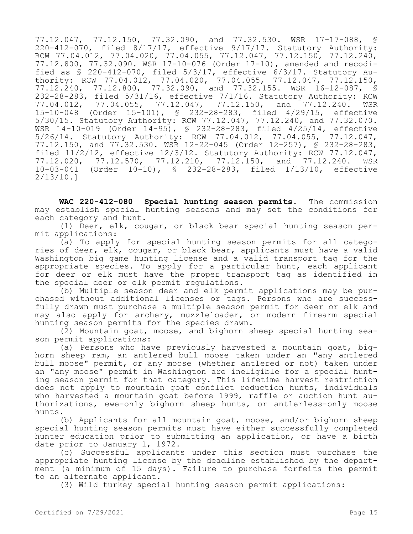77.12.047, 77.12.150, 77.32.090, and 77.32.530. WSR 17-17-088, § 220-412-070, filed 8/17/17, effective 9/17/17. Statutory Authority: RCW 77.04.012, 77.04.020, 77.04.055, 77.12.047, 77.12.150, 77.12.240, 77.12.800, 77.32.090. WSR 17-10-076 (Order 17-10), amended and recodified as § 220-412-070, filed 5/3/17, effective 6/3/17. Statutory Authority: RCW 77.04.012, 77.04.020, 77.04.055, 77.12.047, 77.12.150, 77.12.240, 77.12.800, 77.32.090, and 77.32.155. WSR 16-12-087, § 232-28-283, filed 5/31/16, effective 7/1/16. Statutory Authority: RCW<br>77.04.012, 77.04.055, 77.12.047, 77.12.150, and 77.12.240. WSR 77.04.012, 77.04.055, 77.12.047, 77.12.150, and 77.12.240. 15-10-048 (Order 15-101), § 232-28-283, filed 4/29/15, effective 15-10-046 (Older 15-101), 3 252 20 205, 1110, 1, 2, 2, 2, 2, 32.070.<br>5/30/15. Statutory Authority: RCW 77.12.047, 77.12.240, and 77.32.070. WSR 14-10-019 (Order 14-95), § 232-28-283, filed 4/25/14, effective 5/26/14. Statutory Authority: RCW 77.04.012, 77.04.055, 77.12.047, 77.12.150, and 77.32.530. WSR 12-22-045 (Order 12-257), § 232-28-283, filed 11/2/12, effective 12/3/12. Statutory Authority: RCW 77.12.047, 77.12.020, 77.12.570, 77.12.210, 77.12.150, and 77.12.240. WSR 10-03-041 (Order 10-10), § 232-28-283, filed 1/13/10, effective 2/13/10.]

**WAC 220-412-080 Special hunting season permits.** The commission may establish special hunting seasons and may set the conditions for each category and hunt.

(1) Deer, elk, cougar, or black bear special hunting season permit applications:

(a) To apply for special hunting season permits for all categories of deer, elk, cougar, or black bear, applicants must have a valid Washington big game hunting license and a valid transport tag for the appropriate species. To apply for a particular hunt, each applicant for deer or elk must have the proper transport tag as identified in the special deer or elk permit regulations.

(b) Multiple season deer and elk permit applications may be purchased without additional licenses or tags. Persons who are successfully drawn must purchase a multiple season permit for deer or elk and may also apply for archery, muzzleloader, or modern firearm special hunting season permits for the species drawn.

(2) Mountain goat, moose, and bighorn sheep special hunting season permit applications:

(a) Persons who have previously harvested a mountain goat, bighorn sheep ram, an antlered bull moose taken under an "any antlered bull moose" permit, or any moose (whether antlered or not) taken under an "any moose" permit in Washington are ineligible for a special hunting season permit for that category. This lifetime harvest restriction does not apply to mountain goat conflict reduction hunts, individuals who harvested a mountain goat before 1999, raffle or auction hunt authorizations, ewe-only bighorn sheep hunts, or antlerless-only moose hunts.

(b) Applicants for all mountain goat, moose, and/or bighorn sheep special hunting season permits must have either successfully completed hunter education prior to submitting an application, or have a birth date prior to January 1, 1972.

(c) Successful applicants under this section must purchase the appropriate hunting license by the deadline established by the department (a minimum of 15 days). Failure to purchase forfeits the permit to an alternate applicant.

(3) Wild turkey special hunting season permit applications: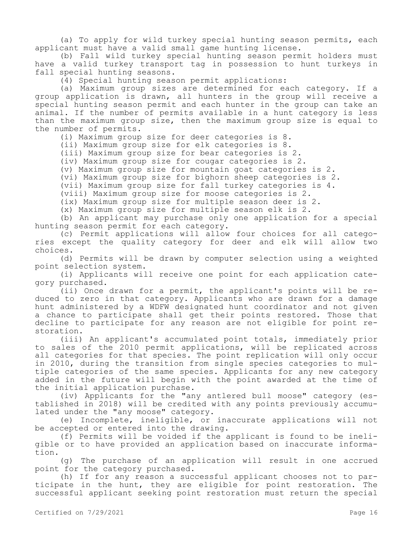(a) To apply for wild turkey special hunting season permits, each applicant must have a valid small game hunting license.

(b) Fall wild turkey special hunting season permit holders must have a valid turkey transport tag in possession to hunt turkeys in fall special hunting seasons.

(4) Special hunting season permit applications:

(a) Maximum group sizes are determined for each category. If a group application is drawn, all hunters in the group will receive a special hunting season permit and each hunter in the group can take an animal. If the number of permits available in a hunt category is less than the maximum group size, then the maximum group size is equal to the number of permits.

(i) Maximum group size for deer categories is 8.

(ii) Maximum group size for elk categories is 8.

(iii) Maximum group size for bear categories is 2.

(iv) Maximum group size for cougar categories is 2.

(v) Maximum group size for mountain goat categories is 2.

(vi) Maximum group size for bighorn sheep categories is 2.

(vii) Maximum group size for fall turkey categories is 4.

(viii) Maximum group size for moose categories is 2.

(ix) Maximum group size for multiple season deer is 2.

(x) Maximum group size for multiple season elk is 2.

(b) An applicant may purchase only one application for a special hunting season permit for each category.

(c) Permit applications will allow four choices for all categories except the quality category for deer and elk will allow two choices.

(d) Permits will be drawn by computer selection using a weighted point selection system.

(i) Applicants will receive one point for each application category purchased.

(ii) Once drawn for a permit, the applicant's points will be reduced to zero in that category. Applicants who are drawn for a damage hunt administered by a WDFW designated hunt coordinator and not given a chance to participate shall get their points restored. Those that decline to participate for any reason are not eligible for point restoration.

(iii) An applicant's accumulated point totals, immediately prior to sales of the 2010 permit applications, will be replicated across all categories for that species. The point replication will only occur in 2010, during the transition from single species categories to multiple categories of the same species. Applicants for any new category added in the future will begin with the point awarded at the time of the initial application purchase.

(iv) Applicants for the "any antlered bull moose" category (established in 2018) will be credited with any points previously accumulated under the "any moose" category.

(e) Incomplete, ineligible, or inaccurate applications will not be accepted or entered into the drawing.

(f) Permits will be voided if the applicant is found to be ineligible or to have provided an application based on inaccurate information.

(g) The purchase of an application will result in one accrued point for the category purchased.

(h) If for any reason a successful applicant chooses not to participate in the hunt, they are eligible for point restoration. The successful applicant seeking point restoration must return the special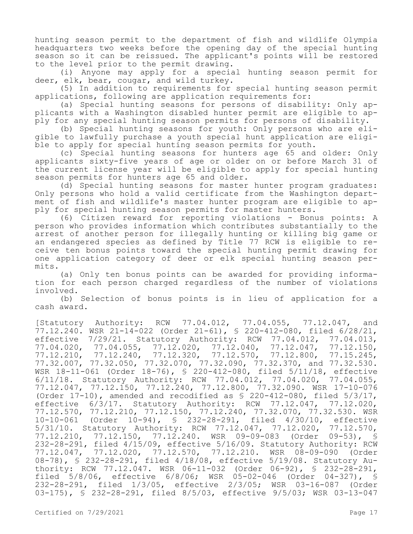hunting season permit to the department of fish and wildlife Olympia headquarters two weeks before the opening day of the special hunting season so it can be reissued. The applicant's points will be restored to the level prior to the permit drawing.

(i) Anyone may apply for a special hunting season permit for deer, elk, bear, cougar, and wild turkey.

(5) In addition to requirements for special hunting season permit applications, following are application requirements for:

(a) Special hunting seasons for persons of disability: Only applicants with a Washington disabled hunter permit are eligible to apply for any special hunting season permits for persons of disability.

(b) Special hunting seasons for youth: Only persons who are eligible to lawfully purchase a youth special hunt application are eligible to apply for special hunting season permits for youth.

(c) Special hunting seasons for hunters age 65 and older: Only applicants sixty-five years of age or older on or before March 31 of the current license year will be eligible to apply for special hunting season permits for hunters age 65 and older.

(d) Special hunting seasons for master hunter program graduates: Only persons who hold a valid certificate from the Washington department of fish and wildlife's master hunter program are eligible to apply for special hunting season permits for master hunters.

(6) Citizen reward for reporting violations - Bonus points: A person who provides information which contributes substantially to the arrest of another person for illegally hunting or killing big game or an endangered species as defined by Title 77 RCW is eligible to receive ten bonus points toward the special hunting permit drawing for one application category of deer or elk special hunting season permits.

(a) Only ten bonus points can be awarded for providing information for each person charged regardless of the number of violations involved.

(b) Selection of bonus points is in lieu of application for a cash award.

[Statutory Authority: RCW 77.04.012, 77.04.055, 77.12.047, and  $77.12.240$ . WSR 21-14-022 (Order 21-61), § 220-412-080, filed 6/28/21, effective 7/29/21. Statutory Authority: RCW 77.04.012, 77.04.013, 77.04.020, 77.04.055, 77.12.020, 77.12.040, 77.12.047, 77.12.150, 77.12.210, 77.12.240, 77.12.320, 77.12.570, 77.12.800, 77.15.245, 77.32.007, 77.32.050, 77.32.070, 77.32.090, 77.32.370, and 77.32.530. WSR 18-11-061 (Order 18-76), § 220-412-080, filed 5/11/18, effective 6/11/18. Statutory Authority: RCW 77.04.012, 77.04.020, 77.04.055, 77.12.047, 77.12.150, 77.12.240, 77.12.800, 77.32.090. WSR 17-10-076 (Order 17-10), amended and recodified as § 220-412-080, filed 5/3/17, effective 6/3/17. Statutory Authority: RCW 77.12.047, 77.12.020, 77.12.570, 77.12.210, 77.12.150, 77.12.240, 77.32.070, 77.32.530. WSR 10-10-061 (Order 10-94), § 232-28-291, filed 4/30/10, effective 5/31/10. Statutory Authority: RCW 77.12.047, 77.12.020, 77.12.570, 77.12.210, 77.12.150, 77.12.240. WSR 09-09-083 (Order 09-53), § 232-28-291, filed 4/15/09, effective 5/16/09. Statutory Authority: RCW 77.12.047, 77.12.020, 77.12.570, 77.12.210. WSR 08-09-090 (Order 08-78), § 232-28-291, filed 4/18/08, effective 5/19/08. Statutory Authority: RCW 77.12.047. WSR 06-11-032 (Order 06-92), § 232-28-291, filed 5/8/06, effective 6/8/06; WSR 05-02-046 (Order 04-327), § 232-28-291, filed 1/3/05, effective 2/3/05; WSR 03-16-087 (Order 03-175), § 232-28-291, filed 8/5/03, effective 9/5/03; WSR 03-13-047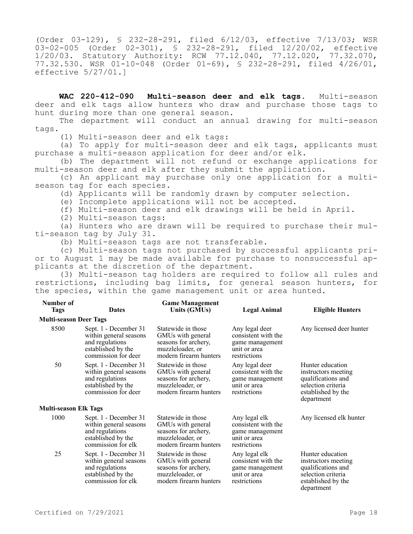(Order 03-129), § 232-28-291, filed 6/12/03, effective 7/13/03; WSR 03-02-005 (Order 02-301), § 232-28-291, filed 12/20/02, effective 1/20/03. Statutory Authority: RCW 77.12.040, 77.12.020, 77.32.070, 77.32.530. WSR 01-10-048 (Order 01-69), § 232-28-291, filed 4/26/01, effective 5/27/01.]

**WAC 220-412-090 Multi-season deer and elk tags.** Multi-season deer and elk tags allow hunters who draw and purchase those tags to hunt during more than one general season.

The department will conduct an annual drawing for multi-season tags.

(1) Multi-season deer and elk tags:

(a) To apply for multi-season deer and elk tags, applicants must purchase a multi-season application for deer and/or elk.

(b) The department will not refund or exchange applications for multi-season deer and elk after they submit the application.

(c) An applicant may purchase only one application for a multiseason tag for each species.

(d) Applicants will be randomly drawn by computer selection.

(e) Incomplete applications will not be accepted.

(f) Multi-season deer and elk drawings will be held in April.

(2) Multi-season tags:

(a) Hunters who are drawn will be required to purchase their multi-season tag by July 31.

(b) Multi-season tags are not transferable.

(c) Multi-season tags not purchased by successful applicants prior to August 1 may be made available for purchase to nonsuccessful applicants at the discretion of the department.

(3) Multi-season tag holders are required to follow all rules and restrictions, including bag limits, for general season hunters, for the species, within the game management unit or area hunted.

| Number of<br><b>Tags</b>      | <b>Dates</b>                                                                                                    | <b>Game Management</b><br>Units (GMUs)                                                                        | Legal Animal                                                                             | <b>Eligible Hunters</b>                                                                                                 |
|-------------------------------|-----------------------------------------------------------------------------------------------------------------|---------------------------------------------------------------------------------------------------------------|------------------------------------------------------------------------------------------|-------------------------------------------------------------------------------------------------------------------------|
| <b>Multi-season Deer Tags</b> |                                                                                                                 |                                                                                                               |                                                                                          |                                                                                                                         |
| 8500                          | Sept. 1 - December 31<br>within general seasons<br>and regulations<br>established by the<br>commission for deer | Statewide in those<br>GMUs with general<br>seasons for archery,<br>muzzleloader, or<br>modern firearm hunters | Any legal deer<br>consistent with the<br>game management<br>unit or area<br>restrictions | Any licensed deer hunter                                                                                                |
| 50                            | Sept. 1 - December 31<br>within general seasons<br>and regulations<br>established by the<br>commission for deer | Statewide in those<br>GMUs with general<br>seasons for archery,<br>muzzleloader, or<br>modern firearm hunters | Any legal deer<br>consistent with the<br>game management<br>unit or area<br>restrictions | Hunter education<br>instructors meeting<br>qualifications and<br>selection criteria<br>established by the<br>department |
| <b>Multi-season Elk Tags</b>  |                                                                                                                 |                                                                                                               |                                                                                          |                                                                                                                         |
| 1000                          | Sept. 1 - December 31<br>within general seasons<br>and regulations<br>established by the<br>commission for elk  | Statewide in those<br>GMUs with general<br>seasons for archery,<br>muzzleloader, or<br>modern firearm hunters | Any legal elk<br>consistent with the<br>game management<br>unit or area<br>restrictions  | Any licensed elk hunter                                                                                                 |
| 25                            | Sept. 1 - December 31<br>within general seasons<br>and regulations<br>established by the<br>commission for elk  | Statewide in those<br>GMUs with general<br>seasons for archery,<br>muzzleloader, or<br>modern firearm hunters | Any legal elk<br>consistent with the<br>game management<br>unit or area<br>restrictions  | Hunter education<br>instructors meeting<br>qualifications and<br>selection criteria<br>established by the<br>department |

**Number of**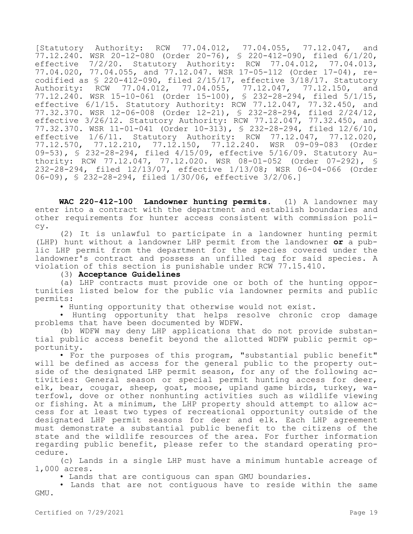[Statutory Authority: RCW 77.04.012, 77.04.055, 77.12.047, and 77.12.240. WSR 20-12-080 (Order 20-76), § 220-412-090, filed 6/1/20, effective 7/2/20. Statutory Authority: RCW 77.04.012, 77.04.013, 77.04.020, 77.04.055, and 77.12.047. WSR 17-05-112 (Order 17-04), recodified as § 220-412-090, filed 2/15/17, effective 3/18/17. Statutory Authority: RCW 77.04.012, 77.04.055, 77.12.047, 77.12.150, and 77.12.240. WSR 15-10-061 (Order 15-100), § 232-28-294, filed 5/1/15, effective 6/1/15. Statutory Authority: RCW 77.12.047, 77.32.450, and 77.32.370. WSR 12-06-008 (Order 12-21), § 232-28-294, filed 2/24/12, effective 3/26/12. Statutory Authority: RCW 77.12.047, 77.32.450, and 77.32.370. WSR 11-01-041 (Order 10-313), § 232-28-294, filed 12/6/10, effective 1/6/11. Statutory Authority: RCW 77.12.047, 77.12.020, 77.12.570, 77.12.210, 77.12.150, 77.12.240. WSR 09-09-083 (Order 09-53), § 232-28-294, filed 4/15/09, effective 5/16/09. Statutory Authority: RCW 77.12.047, 77.12.020. WSR 08-01-052 (Order 07-292), § 232-28-294, filed 12/13/07, effective 1/13/08; WSR 06-04-066 (Order 06-09), § 232-28-294, filed 1/30/06, effective 3/2/06.]

**WAC 220-412-100 Landowner hunting permits.** (1) A landowner may enter into a contract with the department and establish boundaries and other requirements for hunter access consistent with commission policy.

(2) It is unlawful to participate in a landowner hunting permit (LHP) hunt without a landowner LHP permit from the landowner **or** a public LHP permit from the department for the species covered under the landowner's contract and possess an unfilled tag for said species. A violation of this section is punishable under RCW 77.15.410.

#### (3) **Acceptance Guidelines**

(a) LHP contracts must provide one or both of the hunting opportunities listed below for the public via landowner permits and public permits:

• Hunting opportunity that otherwise would not exist.

• Hunting opportunity that helps resolve chronic crop damage problems that have been documented by WDFW.

(b) WDFW may deny LHP applications that do not provide substantial public access benefit beyond the allotted WDFW public permit opportunity.

• For the purposes of this program, "substantial public benefit" will be defined as access for the general public to the property outside of the designated LHP permit season, for any of the following activities: General season or special permit hunting access for deer, elk, bear, cougar, sheep, goat, moose, upland game birds, turkey, waterfowl, dove or other nonhunting activities such as wildlife viewing or fishing. At a minimum, the LHP property should attempt to allow access for at least two types of recreational opportunity outside of the designated LHP permit seasons for deer and elk. Each LHP agreement must demonstrate a substantial public benefit to the citizens of the state and the wildlife resources of the area. For further information regarding public benefit, please refer to the standard operating procedure.

(c) Lands in a single LHP must have a minimum huntable acreage of 1,000 acres.

• Lands that are contiguous can span GMU boundaries.

• Lands that are not contiguous have to reside within the same GMU.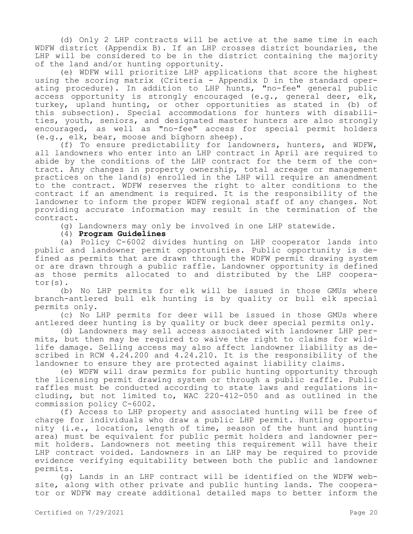(d) Only 2 LHP contracts will be active at the same time in each WDFW district (Appendix B). If an LHP crosses district boundaries, the LHP will be considered to be in the district containing the majority of the land and/or hunting opportunity.

(e) WDFW will prioritize LHP applications that score the highest using the scoring matrix (Criteria - Appendix D in the standard operating procedure). In addition to LHP hunts, "no-fee" general public access opportunity is strongly encouraged (e.g., general deer, elk, turkey, upland hunting, or other opportunities as stated in (b) of this subsection). Special accommodations for hunters with disabilities, youth, seniors, and designated master hunters are also strongly encouraged, as well as "no-fee" access for special permit holders (e.g., elk, bear, moose and bighorn sheep).

(f) To ensure predictability for landowners, hunters, and WDFW, all landowners who enter into an LHP contract in April are required to abide by the conditions of the LHP contract for the term of the contract. Any changes in property ownership, total acreage or management practices on the land(s) enrolled in the LHP will require an amendment to the contract. WDFW reserves the right to alter conditions to the contract if an amendment is required. It is the responsibility of the landowner to inform the proper WDFW regional staff of any changes. Not providing accurate information may result in the termination of the contract.

(g) Landowners may only be involved in one LHP statewide.

(4) **Program Guidelines**

(a) Policy C-6002 divides hunting on LHP cooperator lands into public and landowner permit opportunities. Public opportunity is defined as permits that are drawn through the WDFW permit drawing system or are drawn through a public raffle. Landowner opportunity is defined as those permits allocated to and distributed by the LHP cooperator(s).

(b) No LHP permits for elk will be issued in those GMUs where branch-antlered bull elk hunting is by quality or bull elk special permits only.

(c) No LHP permits for deer will be issued in those GMUs where antlered deer hunting is by quality or buck deer special permits only.

(d) Landowners may sell access associated with landowner LHP permits, but then may be required to waive the right to claims for wildlife damage. Selling access may also affect landowner liability as described in RCW 4.24.200 and 4.24.210. It is the responsibility of the landowner to ensure they are protected against liability claims.

(e) WDFW will draw permits for public hunting opportunity through the licensing permit drawing system or through a public raffle. Public raffles must be conducted according to state laws and regulations including, but not limited to, WAC 220-412-050 and as outlined in the commission policy C-6002.

(f) Access to LHP property and associated hunting will be free of charge for individuals who draw a public LHP permit. Hunting opportunity (i.e., location, length of time, season of the hunt and hunting area) must be equivalent for public permit holders and landowner permit holders. Landowners not meeting this requirement will have their LHP contract voided. Landowners in an LHP may be required to provide evidence verifying equitability between both the public and landowner permits.

(g) Lands in an LHP contract will be identified on the WDFW website, along with other private and public hunting lands. The cooperator or WDFW may create additional detailed maps to better inform the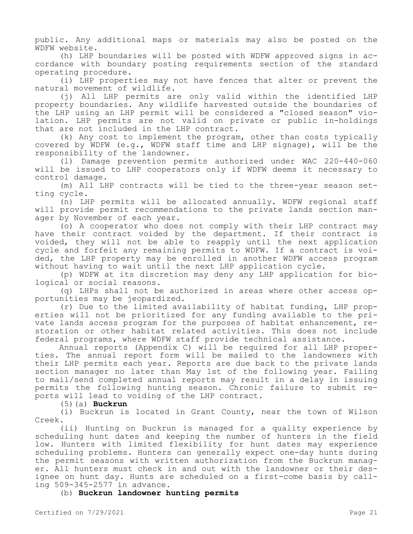public. Any additional maps or materials may also be posted on the WDFW website.

(h) LHP boundaries will be posted with WDFW approved signs in accordance with boundary posting requirements section of the standard operating procedure.

(i) LHP properties may not have fences that alter or prevent the natural movement of wildlife.

(j) All LHP permits are only valid within the identified LHP property boundaries. Any wildlife harvested outside the boundaries of the LHP using an LHP permit will be considered a "closed season" violation. LHP permits are not valid on private or public in-holdings that are not included in the LHP contract.

(k) Any cost to implement the program, other than costs typically covered by WDFW (e.g., WDFW staff time and LHP signage), will be the responsibility of the landowner.

(l) Damage prevention permits authorized under WAC 220-440-060 will be issued to LHP cooperators only if WDFW deems it necessary to control damage.

(m) All LHP contracts will be tied to the three-year season setting cycle.

(n) LHP permits will be allocated annually. WDFW regional staff will provide permit recommendations to the private lands section manager by November of each year.

(o) A cooperator who does not comply with their LHP contract may have their contract voided by the department. If their contract is voided, they will not be able to reapply until the next application cycle and forfeit any remaining permits to WDFW. If a contract is voided, the LHP property may be enrolled in another WDFW access program without having to wait until the next LHP application cycle.

(p) WDFW at its discretion may deny any LHP application for biological or social reasons.

(q) LHPs shall not be authorized in areas where other access opportunities may be jeopardized.

(r) Due to the limited availability of habitat funding, LHP properties will not be prioritized for any funding available to the private lands access program for the purposes of habitat enhancement, restoration or other habitat related activities. This does not include federal programs, where WDFW staff provide technical assistance.

Annual reports (Appendix C) will be required for all LHP properties. The annual report form will be mailed to the landowners with their LHP permits each year. Reports are due back to the private lands section manager no later than May 1st of the following year. Failing to mail/send completed annual reports may result in a delay in issuing permits the following hunting season. Chronic failure to submit reports will lead to voiding of the LHP contract.

(5)(a) **Buckrun**

(i) Buckrun is located in Grant County, near the town of Wilson Creek.

(ii) Hunting on Buckrun is managed for a quality experience by scheduling hunt dates and keeping the number of hunters in the field low. Hunters with limited flexibility for hunt dates may experience scheduling problems. Hunters can generally expect one-day hunts during the permit seasons with written authorization from the Buckrun manager. All hunters must check in and out with the landowner or their designee on hunt day. Hunts are scheduled on a first-come basis by calling 509-345-2577 in advance.

(b) **Buckrun landowner hunting permits**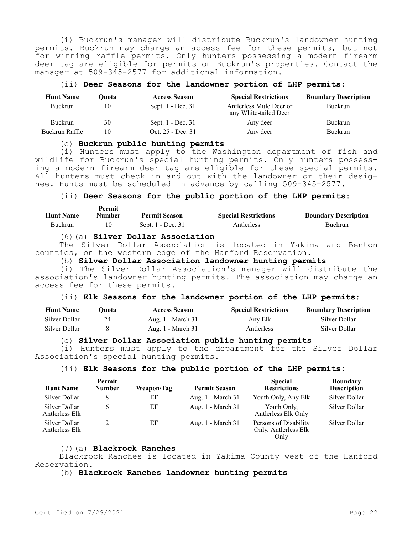(i) Buckrun's manager will distribute Buckrun's landowner hunting permits. Buckrun may charge an access fee for these permits, but not for winning raffle permits. Only hunters possessing a modern firearm deer tag are eligible for permits on Buckrun's properties. Contact the manager at 509-345-2577 for additional information.

#### (ii) **Deer Seasons for the landowner portion of LHP permits:**

| <b>Hunt Name</b> | Ouota | <b>Access Season</b> | <b>Special Restrictions</b>                      | <b>Boundary Description</b> |
|------------------|-------|----------------------|--------------------------------------------------|-----------------------------|
| <b>Buckrun</b>   | 10    | Sept. 1 - Dec. 31    | Antlerless Mule Deer or<br>any White-tailed Deer | Buckrun                     |
| <b>Buckrun</b>   | 30    | Sept. 1 - Dec. 31    | Any deer                                         | Buckrun                     |
| Buckrun Raffle   | 10    | Oct. 25 - Dec. 31    | Any deer                                         | Buckrun                     |

#### (c) **Buckrun public hunting permits**

(i) Hunters must apply to the Washington department of fish and wildlife for Buckrun's special hunting permits. Only hunters possessing a modern firearm deer tag are eligible for these special permits. All hunters must check in and out with the landowner or their designee. Hunts must be scheduled in advance by calling 509-345-2577.

# (ii) **Deer Seasons for the public portion of the LHP permits:**

| <b>Hunt Name</b> | Permit<br>Number | <b>Permit Season</b> | <b>Special Restrictions</b> | <b>Boundary Description</b> |
|------------------|------------------|----------------------|-----------------------------|-----------------------------|
| Buckrun          |                  | Sept. 1 - Dec. 31    | Antlerless                  | Buckrun                     |

#### (6)(a) **Silver Dollar Association**

The Silver Dollar Association is located in Yakima and Benton counties, on the western edge of the Hanford Reservation.

## (b) **Silver Dollar Association landowner hunting permits**

(i) The Silver Dollar Association's manager will distribute the association's landowner hunting permits. The association may charge an access fee for these permits.

### (ii) **Elk Seasons for the landowner portion of the LHP permits:**

| <b>Hunt Name</b> | Duota. | <b>Access Season</b> | <b>Special Restrictions</b> | <b>Boundary Description</b> |
|------------------|--------|----------------------|-----------------------------|-----------------------------|
| Silver Dollar    |        | Aug. 1 - March 31    | Any Elk                     | Silver Dollar               |
| Silver Dollar    |        | Aug. 1 - March 31    | Antlerless                  | Silver Dollar               |

#### (c) **Silver Dollar Association public hunting permits**

(i) Hunters must apply to the department for the Silver Dollar Association's special hunting permits.

## (ii) **Elk Seasons for the public portion of the LHP permits:**

| <b>Hunt Name</b>                | Permit<br><b>Number</b> | Weapon/Tag | <b>Permit Season</b> | <b>Special</b><br><b>Restrictions</b>                 | <b>Boundary</b><br><b>Description</b> |
|---------------------------------|-------------------------|------------|----------------------|-------------------------------------------------------|---------------------------------------|
| Silver Dollar                   |                         | ΕF         | Aug. 1 - March 31    | Youth Only, Any Elk                                   | Silver Dollar                         |
| Silver Dollar<br>Antlerless Elk |                         | ΕF         | Aug. 1 - March 31    | Youth Only,<br>Antlerless Elk Only                    | Silver Dollar                         |
| Silver Dollar<br>Antlerless Elk |                         | ΕF         | Aug. 1 - March 31    | Persons of Disability<br>Only, Antlerless Elk<br>Only | Silver Dollar                         |

#### (7)(a) **Blackrock Ranches**

Blackrock Ranches is located in Yakima County west of the Hanford Reservation.

(b) **Blackrock Ranches landowner hunting permits**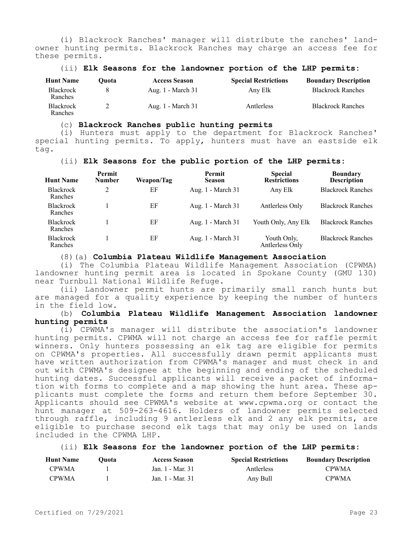(i) Blackrock Ranches' manager will distribute the ranches' landowner hunting permits. Blackrock Ranches may charge an access fee for these permits.

#### (ii) **Elk Seasons for the landowner portion of the LHP permits:**

| <b>Hunt Name</b>            | Ouota | <b>Access Season</b> | <b>Special Restrictions</b> | <b>Boundary Description</b> |
|-----------------------------|-------|----------------------|-----------------------------|-----------------------------|
| <b>Blackrock</b><br>Ranches |       | Aug. 1 - March 31    | Any Elk                     | <b>Blackrock Ranches</b>    |
| <b>Blackrock</b><br>Ranches |       | Aug. 1 - March 31    | Antlerless                  | <b>Blackrock Ranches</b>    |

# (c) **Blackrock Ranches public hunting permits**

(i) Hunters must apply to the department for Blackrock Ranches' special hunting permits. To apply, hunters must have an eastside elk tag.

### (ii) **Elk Seasons for the public portion of the LHP permits:**

| <b>Hunt Name</b>            | Permit<br><b>Number</b> | Weapon/Tag | Permit<br><b>Season</b> | <b>Special</b><br><b>Restrictions</b> | <b>Boundary</b><br><b>Description</b> |
|-----------------------------|-------------------------|------------|-------------------------|---------------------------------------|---------------------------------------|
| <b>Blackrock</b><br>Ranches |                         | EF         | Aug. 1 - March 31       | Any Elk                               | <b>Blackrock Ranches</b>              |
| <b>Blackrock</b><br>Ranches |                         | EF         | Aug. 1 - March 31       | Antlerless Only                       | <b>Blackrock Ranches</b>              |
| <b>Blackrock</b><br>Ranches |                         | EF         | Aug. 1 - March 31       | Youth Only, Any Elk                   | <b>Blackrock Ranches</b>              |
| <b>Blackrock</b><br>Ranches |                         | EF         | Aug. 1 - March 31       | Youth Only,<br>Antlerless Only        | <b>Blackrock Ranches</b>              |

### (8)(a) **Columbia Plateau Wildlife Management Association**

(i) The Columbia Plateau Wildlife Management Association (CPWMA) landowner hunting permit area is located in Spokane County (GMU 130) near Turnbull National Wildlife Refuge.

(ii) Landowner permit hunts are primarily small ranch hunts but are managed for a quality experience by keeping the number of hunters in the field low.

(b) **Columbia Plateau Wildlife Management Association landowner hunting permits**

(i) CPWMA's manager will distribute the association's landowner hunting permits. CPWMA will not charge an access fee for raffle permit winners. Only hunters possessing an elk tag are eligible for permits on CPWMA's properties. All successfully drawn permit applicants must have written authorization from CPWMA's manager and must check in and out with CPWMA's designee at the beginning and ending of the scheduled hunting dates. Successful applicants will receive a packet of information with forms to complete and a map showing the hunt area. These applicants must complete the forms and return them before September 30. Applicants should see CPWMA's website at www.cpwma.org or contact the hunt manager at 509-263-4616. Holders of landowner permits selected through raffle, including 9 antlerless elk and 2 any elk permits, are eligible to purchase second elk tags that may only be used on lands included in the CPWMA LHP.

### (ii) **Elk Seasons for the landowner portion of the LHP permits:**

| <b>Hunt Name</b> | Duota ( | <b>Access Season</b> | <b>Special Restrictions</b> | <b>Boundary Description</b> |
|------------------|---------|----------------------|-----------------------------|-----------------------------|
| <b>CPWMA</b>     |         | Jan. 1 - Mar. 31     | Antlerless                  | <b>CPWMA</b>                |
| CPWMA            |         | Jan. 1 - Mar. 31     | Any Bull                    | <b>CPWMA</b>                |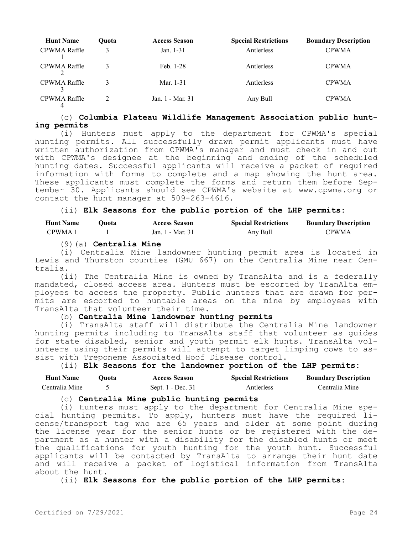| <b>Hunt Name</b> | Ouota | <b>Access Season</b> | <b>Special Restrictions</b> | <b>Boundary Description</b> |
|------------------|-------|----------------------|-----------------------------|-----------------------------|
| CPWMA Raffle     |       | Jan. 1-31            | Antlerless                  | <b>CPWMA</b>                |
| CPWMA Raffle     |       | Feb. 1-28            | Antlerless                  | <b>CPWMA</b>                |
| CPWMA Raffle     |       | Mar. 1-31            | Antlerless                  | <b>CPWMA</b>                |
| CPWMA Raffle     |       | Jan. 1 - Mar. 31     | Any Bull                    | <b>CPWMA</b>                |

## (c) **Columbia Plateau Wildlife Management Association public hunting permits**

(i) Hunters must apply to the department for CPWMA's special hunting permits. All successfully drawn permit applicants must have written authorization from CPWMA's manager and must check in and out with CPWMA's designee at the beginning and ending of the scheduled hunting dates. Successful applicants will receive a packet of required information with forms to complete and a map showing the hunt area. These applicants must complete the forms and return them before September 30. Applicants should see CPWMA's website at www.cpwma.org or contact the hunt manager at 509-263-4616.

## (ii) **Elk Seasons for the public portion of the LHP permits:**

| <b>Hunt Name</b> | Duota: | <b>Access Season</b> | <b>Special Restrictions</b> | <b>Boundary Description</b> |
|------------------|--------|----------------------|-----------------------------|-----------------------------|
| CPWMA 1          |        | Jan. 1 - Mar. 31     | Any Bull                    | <b>CPWMA</b>                |

(9)(a) **Centralia Mine**

(i) Centralia Mine landowner hunting permit area is located in Lewis and Thurston counties (GMU 667) on the Centralia Mine near Centralia.

(ii) The Centralia Mine is owned by TransAlta and is a federally mandated, closed access area. Hunters must be escorted by TranAlta employees to access the property. Public hunters that are drawn for permits are escorted to huntable areas on the mine by employees with TransAlta that volunteer their time.

# (b) **Centralia Mine landowner hunting permits**

(i) TransAlta staff will distribute the Centralia Mine landowner hunting permits including to TransAlta staff that volunteer as guides for state disabled, senior and youth permit elk hunts. TransAlta volunteers using their permits will attempt to target limping cows to assist with Treponeme Associated Hoof Disease control.

### (ii) **Elk Seasons for the landowner portion of the LHP permits:**

| <b>Hunt Name</b> | ')uota | <b>Access Season</b> | <b>Special Restrictions</b> | <b>Boundary Description</b> |
|------------------|--------|----------------------|-----------------------------|-----------------------------|
| Centralia Mine   |        | Sept. 1 - Dec. 31    | Antlerless                  | Centralia Mine              |

# (c) **Centralia Mine public hunting permits**

(i) Hunters must apply to the department for Centralia Mine special hunting permits. To apply, hunters must have the required license/transport tag who are 65 years and older at some point during the license year for the senior hunts or be registered with the department as a hunter with a disability for the disabled hunts or meet the qualifications for youth hunting for the youth hunt. Successful applicants will be contacted by TransAlta to arrange their hunt date and will receive a packet of logistical information from TransAlta about the hunt.

(ii) **Elk Seasons for the public portion of the LHP permits:**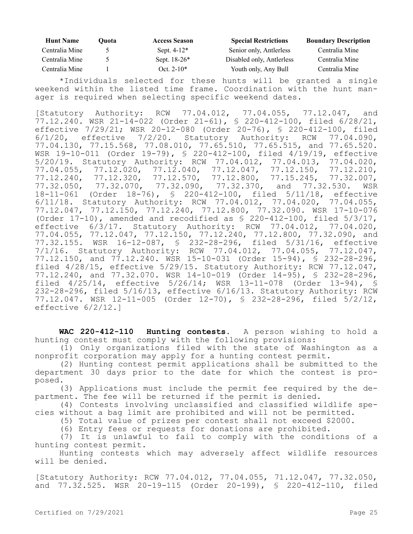| <b>Hunt Name</b> | Ouota | <b>Access Season</b> | <b>Special Restrictions</b> | <b>Boundary Description</b> |
|------------------|-------|----------------------|-----------------------------|-----------------------------|
| Centralia Mine   |       | Sept. $4-12^*$       | Senior only, Antlerless     | Centralia Mine              |
| Centralia Mine   |       | Sept. $18-26*$       | Disabled only, Antlerless   | Centralia Mine              |
| Centralia Mine   |       | Oct. $2-10*$         | Youth only, Any Bull        | Centralia Mine              |

\*Individuals selected for these hunts will be granted a single weekend within the listed time frame. Coordination with the hunt manager is required when selecting specific weekend dates.

[Statutory Authority: RCW 77.04.012, 77.04.055, 77.12.047, and 77.12.240. WSR 21-14-022 (Order 21-61), § 220-412-100, filed 6/28/21, effective 7/29/21; WSR 20-12-080 (Order 20-76), § 220-412-100, filed 6/1/20, effective 7/2/20. Statutory Authority: RCW 77.04.090, 77.04.130, 77.15.568, 77.08.010, 77.65.510, 77.65.515, and 77.65.520. WSR 19-10-011 (Order 19-79), § 220-412-100, filed 4/19/19, effective 5/20/19. Statutory Authority: RCW 77.04.012, 77.04.013, 77.04.020, 77.04.055, 77.12.020, 77.12.040, 77.12.047, 77.12.150, 77.12.210, 77.12.240, 77.12.320, 77.12.570, 77.12.800, 77.15.245, 77.32.007, 77.32.050, 77.32.070, 77.32.090, 77.32.370, and 77.32.530. WSR 18-11-061 (Order 18-76), § 220-412-100, filed 5/11/18, effective 6/11/18. Statutory Authority: RCW 77.04.012, 77.04.020, 77.04.055, 77.12.047, 77.12.150, 77.12.240, 77.12.800, 77.32.090. WSR 17-10-076 (Order 17-10), amended and recodified as § 220-412-100, filed 5/3/17, effective 6/3/17. Statutory Authority: RCW 77.04.012, 77.04.020, 77.04.055, 77.12.047, 77.12.150, 77.12.240, 77.12.800, 77.32.090, and 77.32.155. WSR 16-12-087, § 232-28-296, filed 5/31/16, effective 7/1/16. Statutory Authority: RCW 77.04.012, 77.04.055, 77.12.047, 77.12.150, and 77.12.240. WSR 15-10-031 (Order 15-94), § 232-28-296, filed 4/28/15, effective 5/29/15. Statutory Authority: RCW 77.12.047, 77.12.240, and 77.32.070. WSR 14-10-019 (Order 14-95), § 232-28-296, filed 4/25/14, effective 5/26/14; WSR 13-11-078 (Order 13-94), § 232-28-296, filed 5/16/13, effective 6/16/13. Statutory Authority: RCW 77.12.047. WSR 12-11-005 (Order 12-70), § 232-28-296, filed 5/2/12, effective 6/2/12.]

**WAC 220-412-110 Hunting contests.** A person wishing to hold a hunting contest must comply with the following provisions:

(1) Only organizations filed with the state of Washington as a nonprofit corporation may apply for a hunting contest permit.

(2) Hunting contest permit applications shall be submitted to the department 30 days prior to the date for which the contest is proposed.

(3) Applications must include the permit fee required by the department. The fee will be returned if the permit is denied.

(4) Contests involving unclassified and classified wildlife species without a bag limit are prohibited and will not be permitted.

(5) Total value of prizes per contest shall not exceed \$2000.

(6) Entry fees or requests for donations are prohibited.

(7) It is unlawful to fail to comply with the conditions of a hunting contest permit.

Hunting contests which may adversely affect wildlife resources will be denied.

[Statutory Authority: RCW 77.04.012, 77.04.055, 71.12.047, 77.32.050, and 77.32.525. WSR 20-19-115 (Order 20-199), § 220-412-110, filed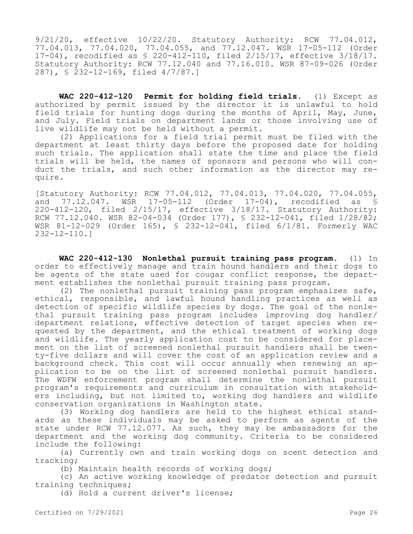9/21/20, effective 10/22/20. Statutory Authority: RCW 77.04.012, 77.04.013, 77.04.020, 77.04.055, and 77.12.047. WSR 17-05-112 (Order 17-04), recodified as § 220-412-110, filed 2/15/17, effective 3/18/17. Statutory Authority: RCW 77.12.040 and 77.16.010. WSR 87-09-026 (Order 287), § 232-12-169, filed 4/7/87.]

**WAC 220-412-120 Permit for holding field trials.** (1) Except as authorized by permit issued by the director it is unlawful to hold field trials for hunting dogs during the months of April, May, June, and July. Field trials on department lands or those involving use of live wildlife may not be held without a permit.

(2) Applications for a field trial permit must be filed with the department at least thirty days before the proposed date for holding such trials. The application shall state the time and place the field trials will be held, the names of sponsors and persons who will conduct the trials, and such other information as the director may require.

[Statutory Authority: RCW 77.04.012, 77.04.013, 77.04.020, 77.04.055, and 77.12.047. WSR 17-05-112 (Order 17-04), recodified as § 220-412-120, filed 2/15/17, effective 3/18/17. Statutory Authority: RCW 77.12.040. WSR 82-04-034 (Order 177), § 232-12-041, filed 1/28/82; WSR 81-12-029 (Order 165), § 232-12-041, filed 6/1/81. Formerly WAC 232-12-110.]

**WAC 220-412-130 Nonlethal pursuit training pass program.** (1) In order to effectively manage and train hound handlers and their dogs to be agents of the state used for cougar conflict response, the department establishes the nonlethal pursuit training pass program.

(2) The nonlethal pursuit training pass program emphasizes safe, ethical, responsible, and lawful hound handling practices as well as detection of specific wildlife species by dogs. The goal of the nonlethal pursuit training pass program includes improving dog handler/ department relations, effective detection of target species when requested by the department, and the ethical treatment of working dogs and wildlife. The yearly application cost to be considered for placement on the list of screened nonlethal pursuit handlers shall be twenty-five dollars and will cover the cost of an application review and a background check. This cost will occur annually when renewing an application to be on the list of screened nonlethal pursuit handlers. The WDFW enforcement program shall determine the nonlethal pursuit program's requirements and curriculum in consultation with stakeholders including, but not limited to, working dog handlers and wildlife conservation organizations in Washington state.

(3) Working dog handlers are held to the highest ethical standards as these individuals may be asked to perform as agents of the state under RCW 77.12.077. As such, they may be ambassadors for the department and the working dog community. Criteria to be considered include the following:

(a) Currently own and train working dogs on scent detection and tracking;

(b) Maintain health records of working dogs;

(c) An active working knowledge of predator detection and pursuit training techniques;

(d) Hold a current driver's license;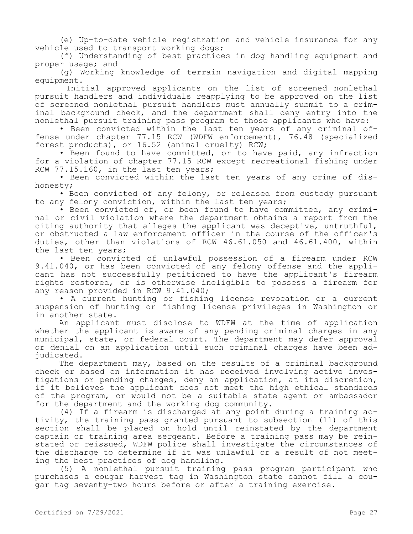(e) Up-to-date vehicle registration and vehicle insurance for any vehicle used to transport working dogs;

(f) Understanding of best practices in dog handling equipment and proper usage; and

(g) Working knowledge of terrain navigation and digital mapping equipment.

 Initial approved applicants on the list of screened nonlethal pursuit handlers and individuals reapplying to be approved on the list of screened nonlethal pursuit handlers must annually submit to a criminal background check, and the department shall deny entry into the nonlethal pursuit training pass program to those applicants who have:

• Been convicted within the last ten years of any criminal offense under chapter 77.15 RCW (WDFW enforcement), 76.48 (specialized forest products), or 16.52 (animal cruelty) RCW;

• Been found to have committed, or to have paid, any infraction for a violation of chapter 77.15 RCW except recreational fishing under RCW 77.15.160, in the last ten years;

• Been convicted within the last ten years of any crime of dishonesty;

• Been convicted of any felony, or released from custody pursuant to any felony conviction, within the last ten years;

• Been convicted of, or been found to have committed, any criminal or civil violation where the department obtains a report from the citing authority that alleges the applicant was deceptive, untruthful, or obstructed a law enforcement officer in the course of the officer's duties, other than violations of RCW 46.61.050 and 46.61.400, within the last ten years;

• Been convicted of unlawful possession of a firearm under RCW 9.41.040, or has been convicted of any felony offense and the applicant has not successfully petitioned to have the applicant's firearm rights restored, or is otherwise ineligible to possess a firearm for any reason provided in RCW 9.41.040;

• A current hunting or fishing license revocation or a current suspension of hunting or fishing license privileges in Washington or in another state.

An applicant must disclose to WDFW at the time of application whether the applicant is aware of any pending criminal charges in any municipal, state, or federal court. The department may defer approval or denial on an application until such criminal charges have been adjudicated.

The department may, based on the results of a criminal background check or based on information it has received involving active investigations or pending charges, deny an application, at its discretion, if it believes the applicant does not meet the high ethical standards of the program, or would not be a suitable state agent or ambassador for the department and the working dog community.

(4) If a firearm is discharged at any point during a training activity, the training pass granted pursuant to subsection (11) of this section shall be placed on hold until reinstated by the department captain or training area sergeant. Before a training pass may be reinstated or reissued, WDFW police shall investigate the circumstances of the discharge to determine if it was unlawful or a result of not meeting the best practices of dog handling.

(5) A nonlethal pursuit training pass program participant who purchases a cougar harvest tag in Washington state cannot fill a cougar tag seventy-two hours before or after a training exercise.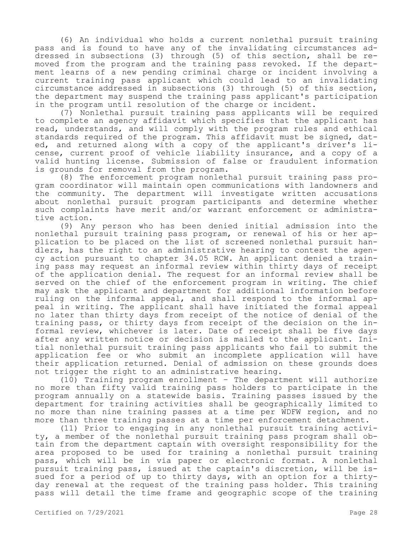(6) An individual who holds a current nonlethal pursuit training pass and is found to have any of the invalidating circumstances addressed in subsections (3) through (5) of this section, shall be removed from the program and the training pass revoked. If the department learns of a new pending criminal charge or incident involving a current training pass applicant which could lead to an invalidating circumstance addressed in subsections (3) through (5) of this section, the department may suspend the training pass applicant's participation in the program until resolution of the charge or incident.

(7) Nonlethal pursuit training pass applicants will be required to complete an agency affidavit which specifies that the applicant has read, understands, and will comply with the program rules and ethical standards required of the program. This affidavit must be signed, dated, and returned along with a copy of the applicant's driver's license, current proof of vehicle liability insurance, and a copy of a valid hunting license. Submission of false or fraudulent information is grounds for removal from the program.

(8) The enforcement program nonlethal pursuit training pass program coordinator will maintain open communications with landowners and the community. The department will investigate written accusations about nonlethal pursuit program participants and determine whether such complaints have merit and/or warrant enforcement or administrative action.

(9) Any person who has been denied initial admission into the nonlethal pursuit training pass program, or renewal of his or her application to be placed on the list of screened nonlethal pursuit handlers, has the right to an administrative hearing to contest the agency action pursuant to chapter 34.05 RCW. An applicant denied a training pass may request an informal review within thirty days of receipt of the application denial. The request for an informal review shall be served on the chief of the enforcement program in writing. The chief may ask the applicant and department for additional information before ruling on the informal appeal, and shall respond to the informal appeal in writing. The applicant shall have initiated the formal appeal no later than thirty days from receipt of the notice of denial of the training pass, or thirty days from receipt of the decision on the informal review, whichever is later. Date of receipt shall be five days after any written notice or decision is mailed to the applicant. Initial nonlethal pursuit training pass applicants who fail to submit the application fee or who submit an incomplete application will have their application returned. Denial of admission on these grounds does not trigger the right to an administrative hearing.

(10) Training program enrollment – The department will authorize no more than fifty valid training pass holders to participate in the program annually on a statewide basis. Training passes issued by the department for training activities shall be geographically limited to no more than nine training passes at a time per WDFW region, and no more than three training passes at a time per enforcement detachment.

(11) Prior to engaging in any nonlethal pursuit training activity, a member of the nonlethal pursuit training pass program shall obtain from the department captain with oversight responsibility for the area proposed to be used for training a nonlethal pursuit training pass, which will be in via paper or electronic format. A nonlethal pursuit training pass, issued at the captain's discretion, will be issued for a period of up to thirty days, with an option for a thirtyday renewal at the request of the training pass holder. This training pass will detail the time frame and geographic scope of the training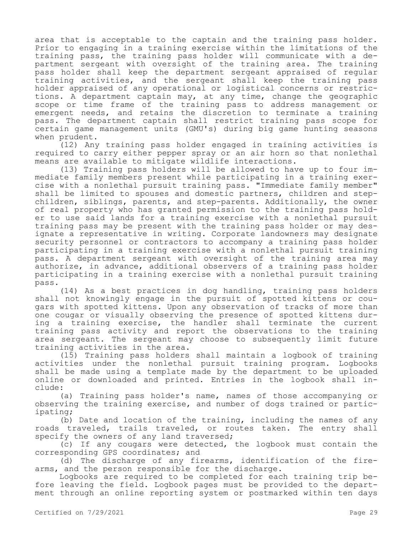area that is acceptable to the captain and the training pass holder. Prior to engaging in a training exercise within the limitations of the training pass, the training pass holder will communicate with a department sergeant with oversight of the training area. The training pass holder shall keep the department sergeant appraised of regular training activities, and the sergeant shall keep the training pass holder appraised of any operational or logistical concerns or restrictions. A department captain may, at any time, change the geographic scope or time frame of the training pass to address management or emergent needs, and retains the discretion to terminate a training pass. The department captain shall restrict training pass scope for certain game management units (GMU's) during big game hunting seasons when prudent.

(12) Any training pass holder engaged in training activities is required to carry either pepper spray or an air horn so that nonlethal means are available to mitigate wildlife interactions.

(13) Training pass holders will be allowed to have up to four immediate family members present while participating in a training exercise with a nonlethal pursuit training pass. "Immediate family member" shall be limited to spouses and domestic partners, children and stepchildren, siblings, parents, and step-parents. Additionally, the owner of real property who has granted permission to the training pass holder to use said lands for a training exercise with a nonlethal pursuit training pass may be present with the training pass holder or may designate a representative in writing. Corporate landowners may designate security personnel or contractors to accompany a training pass holder participating in a training exercise with a nonlethal pursuit training pass. A department sergeant with oversight of the training area may authorize, in advance, additional observers of a training pass holder participating in a training exercise with a nonlethal pursuit training pass.

(14) As a best practices in dog handling, training pass holders shall not knowingly engage in the pursuit of spotted kittens or cougars with spotted kittens. Upon any observation of tracks of more than one cougar or visually observing the presence of spotted kittens during a training exercise, the handler shall terminate the current training pass activity and report the observations to the training area sergeant. The sergeant may choose to subsequently limit future training activities in the area.

(15) Training pass holders shall maintain a logbook of training activities under the nonlethal pursuit training program. Logbooks shall be made using a template made by the department to be uploaded online or downloaded and printed. Entries in the logbook shall include:

(a) Training pass holder's name, names of those accompanying or observing the training exercise, and number of dogs trained or participating;

(b) Date and location of the training, including the names of any roads traveled, trails traveled, or routes taken. The entry shall specify the owners of any land traversed;

(c) If any cougars were detected, the logbook must contain the corresponding GPS coordinates; and

(d) The discharge of any firearms, identification of the firearms, and the person responsible for the discharge.

Logbooks are required to be completed for each training trip before leaving the field. Logbook pages must be provided to the department through an online reporting system or postmarked within ten days